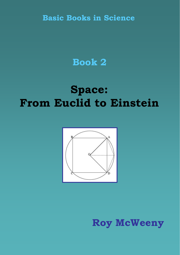**Basic Books in Science**

## **Book 2**

## **Space: From Euclid to Einstein**



**Roy McWeeny**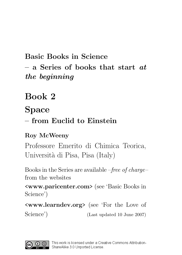## Basic Books in Science  $-$  a Series of books that start  $at$ the beginning

## Book 2

### Space

### – from Euclid to Einstein

### Roy McWeeny

Professore Emerito di Chimica Teorica, Università di Pisa, Pisa (Italy)

Books in the Series are available –free of charge– from the websites

<www.paricenter.com> (see 'Basic Books in Science')

<www.learndev.org> (see 'For the Love of Science') (Last updated 10 June 2007)

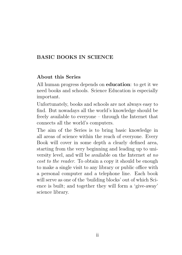#### BASIC BOOKS IN SCIENCE

#### About this Series

All human progress depends on education: to get it we need books and schools. Science Education is especially important.

Unfortunately, books and schools are not always easy to find. But nowadays all the world's knowledge should be freely available to everyone – through the Internet that connects all the world's computers.

The aim of the Series is to bring basic knowledge in all areas of science within the reach of everyone. Every Book will cover in some depth a clearly defined area, starting from the very beginning and leading up to university level, and will be available on the Internet at no cost to the reader. To obtain a copy it should be enough to make a single visit to any library or public office with a personal computer and a telephone line. Each book will serve as one of the 'building blocks' out of which Science is built; and together they will form a 'give-away' science library.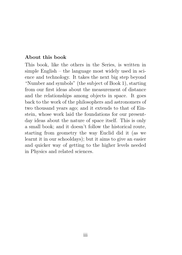#### About this book

This book, like the others in the Series, is written in simple English – the language most widely used in science and technology. It takes the next big step beyond "Number and symbols" (the subject of Book 1), starting from our first ideas about the measurement of distance and the relationships among objects in space. It goes back to the work of the philosophers and astronomers of two thousand years ago; and it extends to that of Einstein, whose work laid the foundations for our presentday ideas about the nature of space itself. This is only a small book; and it doesn't follow the historical route, starting from geometry the way Euclid did it (as we learnt it in our schooldays); but it aims to give an easier and quicker way of getting to the higher levels needed in Physics and related sciences.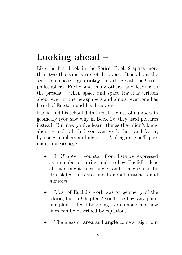## Looking ahead –

Like the first book in the Series, Book 2 spans more than two thousand years of discovery. It is about the science of space –  $\mathbf{geometry}$  – starting with the Greek philosophers, Euclid and many others, and leading to the present – when space and space travel is written about even in the newspapers and almost everyone has heard of Einstein and his discoveries.

Euclid and his school didn't trust the use of numbers in geometry (you saw why in Book 1): they used pictures instead. But now you've learnt things they didn't know about – and will find you can go further, and faster, by using numbers and algebra. And again, you'll pass many 'milestones':

- In Chapter 1 you start from distance, expressed as a number of units, and see how Euclid's ideas about straight lines, angles and triangles can be 'translated' into statements about distances and numbers.
- Most of Euclid's work was on geometry of the plane; but in Chapter 2 you'll see how any point in a plane is fixed by giving two numbers and how lines can be described by equations.
- The ideas of **area** and **angle** come straight out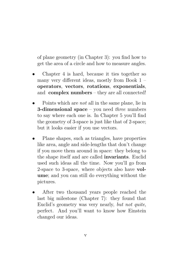of plane geometry (in Chapter 3): you find how to get the area of a circle and how to measure angles.

- Chapter 4 is hard, because it ties together so many very different ideas, mostly from Book 1 – operators, vectors, rotations, exponentials, and complex numbers – they are all connected!
- Points which are not all in the same plane, lie in 3-dimensional space – you need three numbers to say where each one is. In Chapter 5 you'll find the geometry of 3-space is just like that of 2-space; but it looks easier if you use vectors.
- Plane shapes, such as triangles, have properties like area, angle and side-lengths that don't change if you move them around in space: they belong to the shape itself and are called invariants. Euclid used such ideas all the time. Now you'll go from 2-space to 3-space, where objects also have volume; and you can still do everything without the pictures.
- After two thousand years people reached the last big milestone (Chapter 7): they found that Euclid's geometry was very nearly, but not quite, perfect. And you'll want to know how Einstein changed our ideas.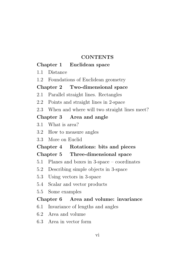#### CONTENTS

#### Chapter 1 Euclidean space

- 1.1 Distance
- 1.2 Foundations of Euclidean geometry

#### Chapter 2 Two-dimensional space

- 2.1 Parallel straight lines. Rectangles
- 2.2 Points and straight lines in 2-space
- 2.3 When and where will two straight lines meet?

#### Chapter 3 Area and angle

- 3.1 What is area?
- 3.2 How to measure angles
- 3.3 More on Euclid

#### Chapter 4 Rotations: bits and pieces Chapter 5 Three-dimensional space

- 5.1 Planes and boxes in 3-space coordinates
- 5.2 Describing simple objects in 3-space
- 5.3 Using vectors in 3-space
- 5.4 Scalar and vector products
- 5.5 Some examples

#### Chapter 6 Area and volume: invariance

- 6.1 Invariance of lengths and angles
- 6.2 Area and volume
- 6.3 Area in vector form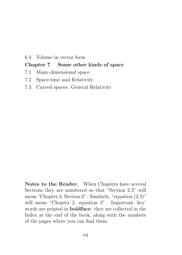#### 6.4 Volume in vector form

#### Chapter 7 Some other kinds of space

- 7.1 Many-dimensional space
- 7.2 Space-time and Relativity
- 7.3 Curved spaces: General Relativity

Notes to the Reader. When Chapters have several Sections they are numbered so that "Section 2.3" will mean "Chapter 2, Section 3". Similarly, "equation (2.3)" will mean "Chapter 2, equation 3". Important 'key' words are printed in boldface: they are collected in the Index at the end of the book, along with the numbers of the pages where you can find them.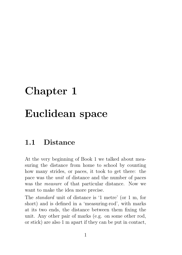# Chapter 1 Euclidean space

### 1.1 Distance

At the very beginning of Book 1 we talked about measuring the distance from home to school by counting how many strides, or paces, it took to get there: the pace was the unit of distance and the number of paces was the measure of that particular distance. Now we want to make the idea more precise.

The standard unit of distance is '1 metre' (or 1 m, for short) and is defined in a 'measuring-rod', with marks at its two ends, the distance between them fixing the unit. Any other pair of marks (e.g. on some other rod, or stick) are also 1 m apart if they can be put in contact,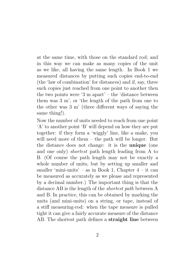at the same time, with those on the standard rod; and in this way we can make as many copies of the unit as we like, all having the same length. In Book 1 we measured distances by putting such copies end-to-end (the 'law of combination' for distances) and if, say, three such copies just reached from one point to another then the two points were '3 m apart' – the 'distance between them was 3 m', or 'the length of the path from one to the other was 3 m' (three different ways of saying the same thing!).

Now the number of units needed to reach from one point 'A' to another point 'B' will depend on how they are put together: if they form a 'wiggly' line, like a snake, you will need more of them – the path will be longer. But the distance does not change: it is the unique (one and one only) shortest path length leading from A to B. (Of course the path length may not be exactly a whole number of units, but by setting up smaller and smaller 'mini-units' – as in Book 1, Chapter  $4$  – it can be measured as accurately as we please and represented by a decimal number.) The important thing is that the distance AB is the length of the shortest path between A and B. In practice, this can be obtained by marking the units (and mini-units) on a string, or tape, instead of a stiff measuring-rod: when the tape measure is pulled tight it can give a fairly accurate measure of the distance AB. The shortest path defines a straight line between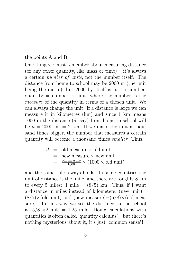the points A and B.

One thing we must remember about measuring distance (or any other quantity, like mass or time) – it's always a certain number of units, not the number itself. The distance from home to school may be 2000 m (the unit being the metre), but 2000 by itself is just a number: quantity = number  $\times$  unit, where the number is the measure of the quantity in terms of a chosen unit. We can always change the unit: if a distance is large we can measure it in kilometres (km) and since 1 km means 1000 m the distance  $(d, say)$  from home to school will be  $d = 2000$  m = 2 km. If we make the unit a thousand times bigger, the number that measures a certain quantity will become a thousand times smaller. Thus,

$$
d = old measure \times old unit
$$
  
= new measure \times new unit  
= 
$$
\frac{\text{old measure}}{1000} \times (1000 \times old unit)
$$

and the same rule always holds. In some countries the unit of distance is the 'mile' and there are roughly 8 km to every 5 miles: 1 mile  $= (8/5)$  km. Thus, if I want a distance in miles instead of kilometers, (new unit)=  $(8/5)\times$ (old unit) and (new measure)= $(5/8)\times$ (old measure). In this way we see the distance to the school is  $(5/8) \times 2$  mile = 1.25 mile. Doing calculations with quantities is often called 'quantity calculus' – but there's nothing mysterious about it, it's just 'common sense'!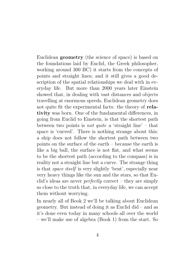Euclidean geometry (the science of space) is based on the foundations laid by Euclid, the Greek philosopher, working around 300 BC) it starts from the concepts of points and straight lines; and it still gives a good description of the spatial relationships we deal with in everyday life. But more than 2000 years later Einstein showed that, in dealing with vast distances and objects travelling at enormous speeds, Euclidean geometry does not quite fit the experimental facts: the theory of relativity was born. One of the fundamental differences, in going from Euclid to Einstein, is that the shortest path between two points is *not quite* a 'straight line' – that space is 'curved'. There is nothing strange about this: a ship does not follow the shortest path between two points on the surface of the earth – because the earth is like a big ball, the surface is not flat, and what seems to be the shortest path (according to the compass) is in reality not a straight line but a curve. The strange thing is that space itself is very slightly 'bent', especially near very heavy things like the sun and the stars, so that Euclid's ideas are never perfectly correct – they are simply so close to the truth that, in everyday life, we can accept them without worrying.

In nearly all of Book 2 we'll be talking about Euclidean geometry. But instead of doing it as Euclid did – and as it's done even today in many schools all over the world – we'll make use of algebra (Book 1) from the start. So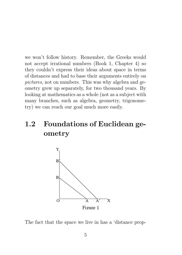we won't follow history. Remember, the Greeks would not accept irrational numbers (Book 1, Chapter 4) so they couldn't express their ideas about space in terms of distances and had to base their arguments entirely on pictures, not on numbers. This was why algebra and geometry grew up separately, for two thousand years. By looking at mathematics as a whole (not as a subject with many branches, such as algebra, geometry, trigonometry) we can reach our goal much more easily.

### 1.2 Foundations of Euclidean geometry



The fact that the space we live in has a 'distance prop-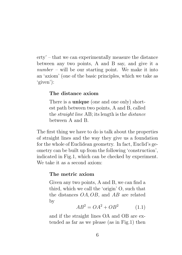erty' – that we can experimentally measure the distance between any two points, A and B say, and give it a  $number - will be our starting point. We make it into$ an 'axiom' (one of the basic principles, which we take as 'given'):

#### The distance axiom

There is a **unique** (one and one only) shortest path between two points, A and B, called the straight line AB; its length is the distance between A and B.

The first thing we have to do is talk about the properties of straight lines and the way they give us a foundation for the whole of Euclidean geometry. In fact, Euclid's geometry can be built up from the following 'construction', indicated in Fig.1, which can be checked by experiment. We take it as a second axiom:

#### The metric axiom

Given any two points, A and B, we can find a third, which we call the 'origin' O, such that the distances OA, OB, and AB are related by

$$
AB^2 = OA^2 + OB^2 \tag{1.1}
$$

and if the straight lines OA and OB are extended as far as we please (as in Fig.1) then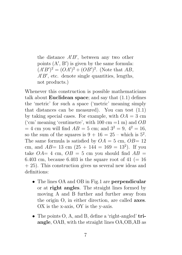the distance  $A'B'$ , between any two other points  $(A', B')$  is given by the same formula:  $(A'B')^2 = (OA')^2 + (OB')^2$ . (Note that AB,  $A'B'$ , etc. denote single quantities, lengths, not products.)

Whenever this construction is possible mathematicians talk about **Euclidean space**; and say that  $(1.1)$  defines the 'metric' for such a space ('metric' meaning simply that distances can be measured). You can test  $(1.1)$ by taking special cases. For example, with  $OA = 3$  cm ('cm' meaning 'centimetre', with 100 cm =1 m) and  $OB$  $= 4$  cm you will find  $AB = 5$  cm; and  $3^2 = 9$ ,  $4^2 = 16$ , so the sum of the squares is  $9 + 16 = 25$  – which is  $5^2$ . The same formula is satisfied by  $OA = 5$  cm,  $OB = 12$ cm, and  $AB = 13$  cm  $(25 + 144 = 169 = 13^2)$ . If you take  $OA= 4$  cm,  $OB = 5$  cm you should find  $AB =$ 6.403 cm, because 6.403 is the square root of 41 ( $=$  16  $+ 25$ ). This construction gives us several new ideas and definitions:

- The lines OA and OB in Fig.1 are **perpendicular** or at right angles. The straight lines formed by moving A and B further and further away from the origin O, in either direction, are called axes. OX is the x-axis, OY is the y-axis.
- The points O, A, and B, define a 'right-angled' triangle, OAB, with the straight lines OA,OB,AB as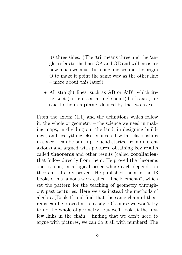its three sides. (The 'tri' means three and the 'angle' refers to the lines OA and OB and will measure how much we must turn one line around the origin O to make it point the same way as the other line – more about this later!)

• All straight lines, such as AB or A'B', which intersect (i.e. cross at a single point) both axes, are said to 'lie in a plane' defined by the two axes.

From the axiom (1.1) and the definitions which follow it, the whole of geometry – the science we need in making maps, in dividing out the land, in designing buildings, and everything else connected with relationships in space – can be built up. Euclid started from different axioms and argued with pictures, obtaining key results called theorems and other results (called corollaries) that follow directly from them. He proved the theorems one by one, in a logical order where each depends on theorems already proved. He published them in the 13 books of his famous work called "The Elements", which set the pattern for the teaching of geometry throughout past centuries. Here we use instead the methods of algebra (Book 1) and find that the same chain of theorems can be proved more easily. Of course we won't try to do the whole of geometry; but we'll look at the first few links in the chain – finding that we don't need to argue with pictures, we can do it all with numbers! The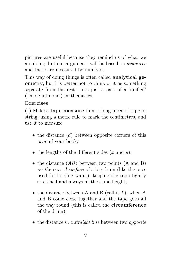pictures are useful because they remind us of what we are doing; but our arguments will be based on distances and these are measured by numbers.

This way of doing things is often called **analytical ge**ometry, but it's better not to think of it as something separate from the rest  $-$  it's just a part of a 'unified' ('made-into-one') mathematics.

#### Exercises

(1) Make a tape measure from a long piece of tape or string, using a metre rule to mark the centimetres, and use it to measure

- $\bullet$  the distance  $(d)$  between opposite corners of this page of your book;
- the lengths of the different sides  $(x \text{ and } y)$ ;
- the distance  $(AB)$  between two points  $(A \text{ and } B)$ on the curved surface of a big drum (like the ones used for holding water), keeping the tape tightly stretched and always at the same height;
- the distance between A and B (call it  $L$ ), when A and B come close together and the tape goes all the way round (this is called the circumference of the drum);
- $\bullet$  the distance in a straight line between two opposite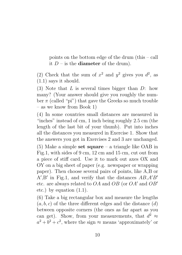points on the bottom edge of the drum (this – call it  $D$  – is the **diameter** of the drum).

(2) Check that the sum of  $x^2$  and  $y^2$  gives you  $d^2$ , as (1.1) says it should.

 $(3)$  Note that L is several times bigger than D: how many? (Your answer should give you roughly the number  $\pi$  (called "pi") that gave the Greeks so much trouble – as we know from Book 1)

(4) In some countries small distances are measured in "inches" instead of cm, 1 inch being roughly 2.5 cm (the length of the last bit of your thumb). Put into inches all the distances you measured in Exercise 1. Show that the answers you got in Exercises 2 and 3 are unchanged.

(5) Make a simple set square – a triangle like OAB in Fig.1, with sides of 9 cm, 12 cm and 15 cm, cut out from a piece of stiff card. Use it to mark out axes OX and OY on a big sheet of paper (e.g. newspaper or wrapping paper). Then choose several pairs of points, like A,B or  $A', B'$  in Fig.1, and verify that the distances  $AB, A'B'$ etc. are always related to  $OA$  and  $OB$  (or  $OA'$  and  $OB'$ ) etc.) by equation (1.1).

(6) Take a big rectangular box and measure the lengths  $(a, b, c)$  of the three different edges and the distance  $(d)$ between opposite corners (the ones as far apart as you can get). Show, from your measurements, that  $d^2 \approx$  $a^2 + b^2 + c^2$ , where the sign  $\approx$  means 'approximately' or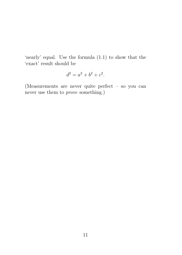'nearly' equal. Use the formula (1.1) to show that the 'exact' result should be

$$
d^2 = a^2 + b^2 + c^2.
$$

(Measurements are never quite perfect – so you can never use them to prove something.)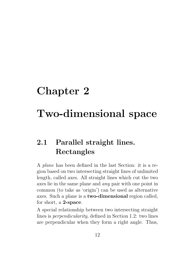## Chapter 2

## Two-dimensional space

### 2.1 Parallel straight lines. Rectangles

A plane has been defined in the last Section: it is a region based on two intersecting straight lines of unlimited length, called axes. All straight lines which cut the two axes lie in the same plane and any pair with one point in common (to take as 'origin') can be used as alternative axes. Such a plane is a two-dimensional region called, for short, a 2-space.

A special relationship between two intersecting straight lines is perpendicularity, defined in Section 1.2: two lines are perpendicular when they form a right angle. Thus,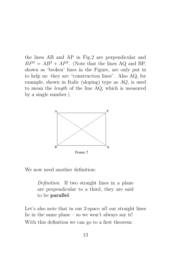the lines AB and AP in Fig.2 are perpendicular and  $BP^2 = AB^2 + AP^2$ . (Note that the lines AQ and BP, shown as 'broken' lines in the Figure, are only put in to help us: they are "construction lines". Also AQ, for example, shown in Italic (sloping) type as  $AQ$ , is used to mean the length of the line AQ, which is measured by a single number.)



We now need another definition:

Definition. If two straight lines in a plane are perpendicular to a third, they are said to be parallel.

Let's also note that in our 2-space *all* our straight lines lie in the same plane – so we won't always say it! With this definition we can go to a first theorem: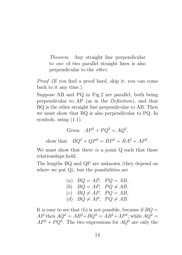Theorem. Any straight line perpendicular to one of two parallel straight lines is also perpendicular to the other.

Proof (If you find a proof hard, skip it; you can come back to it any time.)

Suppose AB and PQ in Fig.2 are parallel, both being perpendicular to AP (as in the Definition), and that BQ is the other straight line perpendicular to AB. Then we must show that BQ is also perpendicular to PQ. In symbols, using (1.1),

$$
Given \tAP^2 + PQ^2 = AQ^2,
$$

show that  $BQ^2 + QP^2 = BP^2 = BA^2 + AP^2$ .

We must show that there is a point Q such that these relationships hold.

The lengths BQ and QP are unknown (they depend on where we put  $Q$ ), but the possibilities are

\n- (a) 
$$
BQ = AP
$$
,  $PQ = AB$ ,
\n- (b)  $BQ = AP$ ,  $PQ \neq AB$ ,
\n- (c)  $BQ \neq AP$ ,  $PQ = AB$ ,
\n- (d)  $BQ \neq AP$ ,  $PQ \neq AB$ .
\n

It is easy to see that (b) is not possible, because if  $BO =$  $AP$  then  $AQ^2 = AB^2 + BQ^2 = AB^2 + AP^2$ ; while  $AQ^2 =$  $AP^2 + PQ^2$ . The two expressions for  $AQ^2$  are only the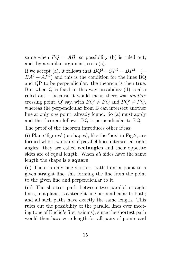same when  $PQ = AB$ , so possibility (b) is ruled out; and, by a similar argument, so is (c).

If we accept (a), it follows that  $BQ^2 + QP^2 = BP^2$  (=  $BA^2 + AP^2$  and this is the condition for the lines BQ and QP to be perpendicular: the theorem is then true. But when Q is fixed in this way possibility (d) is also ruled out – because it would mean there was another crossing point, Q' say, with  $BQ' \neq BQ$  and  $PQ' \neq PQ$ , whereas the perpendicular from B can intersect another line at only one point, already found. So (a) must apply and the theorem follows: BQ is perpendicular to PQ.

The proof of the theorem introduces other ideas:

(i) Plane 'figures' (or shapes), like the 'box' in Fig.2, are formed when two pairs of parallel lines intersect at right angles: they are called rectangles and their opposite sides are of equal length. When *all* sides have the same length the shape is a square.

(ii) There is only one shortest path from a point to a given straight line, this forming the line from the point to the given line and perpendicular to it.

(iii) The shortest path between two parallel straight lines, in a plane, is a straight line perpendicular to both; and all such paths have exactly the same length. This rules out the possibility of the parallel lines ever meeting (one of Euclid's first axioms), since the shortest path would then have zero length for all pairs of points and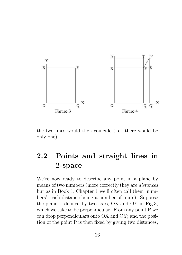

the two lines would then coincide (i.e. there would be only one).

### 2.2 Points and straight lines in 2-space

We're now ready to describe any point in a plane by means of two numbers (more correctly they are distances but as in Book 1, Chapter 1 we'll often call them 'numbers', each distance being a number of units). Suppose the plane is defined by two axes, OX and OY in Fig.3, which we take to be perpendicular. From any point P we can drop perpendiculars onto OX and OY; and the position of the point P is then fixed by giving two distances,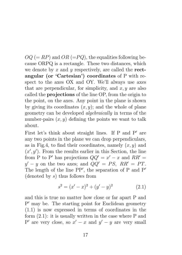$OQ (= RP)$  and  $OR (=PQ)$ , the equalities following because ORPQ is a rectangle. These two distances, which we denote by x and y respectively, are called the **rect**angular (or 'Cartesian') coordinates of P with respect to the axes OX and OY. We'll always use axes that are perpendicular, for simplicity, and  $x, y$  are also called the projections of the line OP, from the origin to the point, on the axes. Any point in the plane is shown by giving its coordinates  $(x, y)$ ; and the whole of plane geometry can be developed algebraically in terms of the number-pairs  $(x, y)$  defining the points we want to talk about.

First let's think about straight lines. If  $P$  and  $P'$  are any two points in the plane we can drop perpendiculars, as in Fig.4, to find their coordinates, namely  $(x, y)$  and  $(x', y')$ . From the results earlier in this Section, the line from P to P' has projections  $QQ' = x' - x$  and  $RR' =$  $y' - y$  on the two axes; and  $QQ' = PS$ ,  $RR' = PT$ . The length of the line  $PP'$ , the separation of P and  $P'$ (denoted by  $s$ ) thus follows from

$$
s^{2} = (x'-x)^{2} + (y'-y)^{2}
$$
 (2.1)

and this is true no matter how close or far apart P and P' may be. The starting point for Euclidean geometry (1.1) is now expressed in terms of coordinates in the form (2.1): it is usually written in the case where P and P' are very close, so  $x' - x$  and  $y' - y$  are very small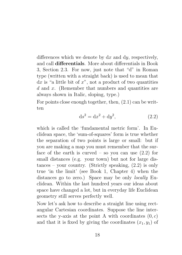differences which we denote by  $dx$  and  $dy$ , respectively, and call differentials. More about differentials in Book 3, Section 2.3. For now, just note that "d" in Roman type (written with a straight back) is used to mean that  $dx$  is "a little bit of  $x$ ", not a product of two quantities d and x. (Remember that numbers and quantities are always shown in Italic, sloping, type.)

For points close enough together, then, (2.1) can be written

$$
ds^2 = dx^2 + dy^2,
$$
 (2.2)

which is called the 'fundamental metric form'. In Euclidean space, the 'sum-of-squares' form is true whether the separation of two points is large or small: but if you are making a map you must remember that the surface of the earth is curved – so you can use  $(2.2)$  for small distances (e.g. your town) but not for large dis $tances - your country.$  (Strictly speaking,  $(2.2)$ ) is only true 'in the limit' (see Book 1, Chapter 4) when the distances go to zero.) Space may be only locally Euclidean. Within the last hundred years our ideas about space have changed a lot, but in everyday life Euclidean geometry still serves perfectly well.

Now let's ask how to describe a straight line using rectangular Cartesian coordinates. Suppose the line intersects the y-axis at the point A with coordinates  $(0, c)$ and that it is fixed by giving the coordinates  $(x_1, y_1)$  of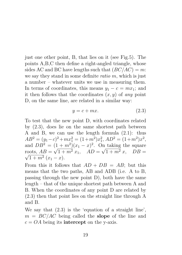just one other point, B, that lies on it (see Fig.5). The points A,B,C then define a right-angled triangle, whose sides AC and BC have lengths such that  $(BC/AC) = m$ : we say they stand in some definite ratio m, which is just a number – whatever units we use in measuring them. In terms of coordinates, this means  $y_1 - c = mx_1$ ; and it then follows that the coordinates  $(x, y)$  of any point D, on the same line, are related in a similar way:

$$
y = c + mx.\tag{2.3}
$$

To test that the new point D, with coordinates related by (2.3), does lie on the same shortest path between A and B, we can use the length formula (2.1): thus  $AB^2 = (y_1 - c)^2 + mx_1^2 = (1 + m^2)x_1^2$ ,  $AD^2 = (1 + m^2)x_2^2$ , and  $DB^2 = (1+m^2)(x_1-x)^2$ . On taking the square roots,  $AB = \sqrt{1 + m^2} x_1$ ,  $AD = \sqrt{1 + m^2} x$ ,  $DB = \sqrt{1 + m^2} x_1$  $1 + m^2(x_1 - x).$ 

From this it follows that  $AD + DB = AB$ ; but this means that the two paths, AB and ADB (i.e. A to B, passing through the new point D), both have the same length – that of the unique shortest path between A and B. When the coordinates of any point D are related by (2.3) then that point lies on the straight line through A and B.

We say that (2.3) is the 'equation of a straight line',  $m = BC/AC$  being called the **slope** of the line and  $c = OA$  being its **intercept** on the y-axis.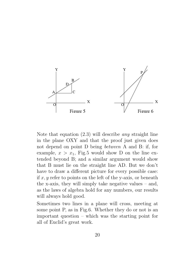

Note that equation (2.3) will describe any straight line in the plane OXY and that the proof just given does not depend on point D being between A and B: if, for example,  $x > x_1$ , Fig.5 would show D on the line extended beyond B; and a similar argument would show that B must lie on the straight line AD. But we don't have to draw a different picture for every possible case: if x, y refer to points on the left of the y-axis, or beneath the x-axis, they will simply take negative values – and, as the laws of algebra hold for any numbers, our results will always hold good.

Sometimes two lines in a plane will cross, meeting at some point P, as in Fig.6. Whether they do or not is an important question – which was the starting point for all of Euclid's great work.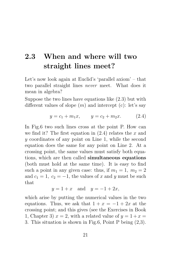### 2.3 When and where will two straight lines meet?

Let's now look again at Euclid's 'parallel axiom' – that two parallel straight lines never meet. What does it mean in algebra?

Suppose the two lines have equations like (2.3) but with different values of slope  $(m)$  and intercept  $(c)$ : let's say

$$
y = c_1 + m_1 x, \qquad y = c_2 + m_2 x. \tag{2.4}
$$

In Fig.6 two such lines cross at the point P. How can we find it? The first equation in  $(2.4)$  relates the x and y coordinates of any point on Line 1, while the second equation does the same for any point on Line 2. At a crossing point, the same values must satisfy both equations, which are then called simultaneous equations (both must hold at the same time). It is easy to find such a point in any given case: thus, if  $m_1 = 1$ ,  $m_2 = 2$ and  $c_1 = 1$ ,  $c_2 = -1$ , the values of x and y must be such that

$$
y = 1 + x \quad \text{and} \quad y = -1 + 2x,
$$

which arise by putting the numerical values in the two equations. Thus, we ask that  $1 + x = -1 + 2x$  at the crossing point; and this gives (see the Exercises in Book 1, Chapter 3)  $x = 2$ , with a related value of  $y = 1 + x =$ 3. This situation is shown in Fig.6, Point P being (2,3).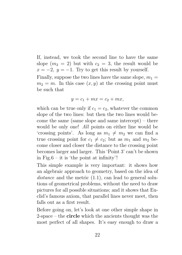If, instead, we took the second line to have the same slope  $(m_2 = 2)$  but with  $c_2 = 3$ , the result would be  $x = -2$ ,  $y = -1$ . Try to get this result by yourself. Finally, suppose the two lines have the same slope,  $m_1 =$  $m_2 = m$ . In this case  $(x, y)$  at the crossing point must

be such that

$$
y = c_1 + mx = c_2 + mx,
$$

which can be true only if  $c_1 = c_2$ , whatever the common slope of the two lines: but then the two lines would become the same (same slope and same intercept) – there would be only one! All points on either line would be 'crossing points'. As long as  $m_1 \neq m_2$  we can find a true crossing point for  $c_1 \neq c_2$ ; but as  $m_1$  and  $m_2$  become closer and closer the distance to the crossing point becomes larger and larger. This 'Point 3' can't be shown in Fig.6 – it is 'the point at infinity'!

This simple example is very important: it shows how an algebraic approach to geometry, based on the idea of distance and the metric  $(1.1)$ , can lead to general solutions of geometrical problems, without the need to draw pictures for all possible situations; and it shows that Euclid's famous axiom, that parallel lines never meet, then falls out as a first result.

Before going on, let's look at one other simple shape in  $2$ -space – the **circle** which the ancients thought was the most perfect of all shapes. It's easy enough to draw a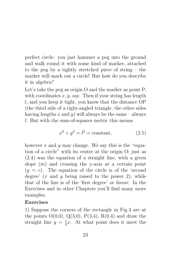perfect circle: you just hammer a peg into the ground and walk round it with some kind of marker, attached to the peg by a tightly stretched piece of string – the marker will mark out a circle! But how do you describe it in algebra?

Let's take the peg as origin O and the marker as point P, with coordinates  $x, y$ , say. Then if your string has length l, and you keep it tight, you know that the distance OP (the third side of a right-angled triangle, the other sides having lengths x and y) will always be the same – always l. But with the sum-of-squares metric this means

$$
x^2 + y^2 = l^2 = \text{constant},\tag{2.5}
$$

however x and y may change. We say this is the "equation of a circle" with its centre at the origin O; just as (2.4) was the equation of a straight line, with a given slope  $(m)$  and crossing the y-axis at a certain point  $(y = c)$ . The equation of the circle is of the 'second degree'  $(x \text{ and } y \text{ being raised to the power } 2)$ ; while that of the line is of the 'first degree' or linear. In the Exercises and in other Chapters you'll find many more examples.

#### Exercises

1) Suppose the corners of the rectangle in Fig.3 are at the points  $O(0,0), Q(3,0), P(3,4), R(0,4)$  and draw the straight line  $y = \frac{1}{2}$  $\frac{1}{2}x$ . At what point does it meet the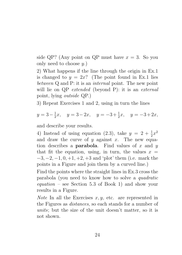side QP? (Any point on QP must have  $x = 3$ . So you only need to choose  $y$ .)

2) What happens if the line through the origin in Ex.1 is changed to  $y = 2x$ ? (The point found in Ex.1 lies between Q and P: it is an *internal* point. The new point will lie on QP extended (beyond P): it is an external point, lying outside QP.)

3) Repeat Exercises 1 and 2, using in turn the lines

$$
y = 3 - \frac{1}{2}x
$$
,  $y = 3 - 2x$ ,  $y = -3 + \frac{1}{2}x$ ,  $y = -3 + 2x$ ,

and describe your results.

4) Instead of using equation (2.3), take  $y = 2 + \frac{1}{2}x^2$ and draw the curve of  $y$  against  $x$ . The new equation describes a **parabola**. Find values of x and y that fit the equation, using, in turn, the values  $x =$  $-3, -2, -1, 0, +1, +2, +3$  and 'plot' them (i.e. mark the points in a Figure and join them by a curved line.)

Find the points where the straight lines in Ex.3 cross the parabola (you need to know how to solve a quadratic  $equation$  – see Section 5.3 of Book 1) and show your results in a Figure.

*Note* In all the Exercises  $x, y$ , etc. are represented in the Figures as distances, so each stands for a number of units; but the size of the unit doesn't matter, so it is not shown.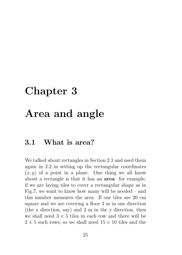## Chapter 3

### Area and angle

### 3.1 What is area?

We talked about rectangles in Section 2.1 and used them again in 2.2 in setting up the rectangular coordinates  $(x, y)$  of a point in a plane. One thing we all know about a rectangle is that it has an area: for example, if we are laying tiles to cover a rectangular shape as in Fig.7, we want to know how many will be needed – and this number measures the area. If our tiles are 20 cm square and we are covering a floor 3 m in one direction (the x direction, say) and 2 m in the y direction, then we shall need  $3 \times 5$  tiles in each row and there will be  $2 \times 5$  such rows; so we shall need  $15 \times 10$  tiles and the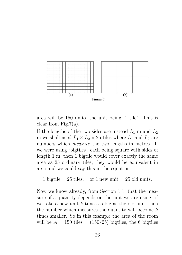

area will be 150 units, the unit being '1 tile'. This is clear from Fig.7(a).

If the lengths of the two sides are instead  $L_1$  m and  $L_2$ m we shall need  $L_1 \times L_2 \times 25$  tiles where  $L_1$  and  $L_2$  are numbers which *measure* the two lengths in metres. If we were using 'bigtiles', each being square with sides of length 1 m, then 1 bigtile would cover exactly the same area as 25 ordinary tiles; they would be equivalent in area and we could say this in the equation

1 bigtile  $= 25$  tiles, or 1 new unit  $= 25$  old units.

Now we know already, from Section 1.1, that the measure of a quantity depends on the unit we are using: if we take a new unit  $k$  times as big as the old unit, then the number which measures the quantity will become  $k$ times smaller. So in this example the area of the room will be  $A = 150$  tiles  $= (150/25)$  bigtiles, the 6 bigtiles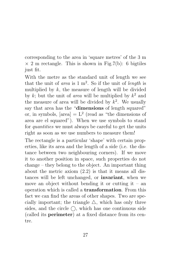corresponding to the area in 'square metres' of the 3 m  $\times$  2 m rectangle. This is shown in Fig.7(b): 6 bigtiles just fit.

With the metre as the standard unit of length we see that the unit of *area* is  $1 \text{ m}^2$ . So if the unit of *length* is multiplied by  $k$ , the measure of length will be divided by  $k$ ; but the unit of *area* will be multiplied by  $k^2$  and the measure of area will be divided by  $k^2$ . We usually say that area has the "dimensions of length squared" or, in symbols,  $[\text{area}] = L^2$  (read as "the dimensions of area are el squared"). When we use symbols to stand for quantities we must always be careful to get the units right as soon as we use numbers to measure them!

The rectangle is a particular 'shape' with certain properties, like its area and the length of a side (i.e. the distance between two neighbouring corners). If we move it to another position in space, such properties do not change – they belong to the object. An important thing about the metric axiom (2.2) is that it means all distances will be left unchanged, or invariant, when we move an object without bending it or cutting it – an operation which is called a transformation. From this fact we can find the areas of other shapes. Two are specially important; the triangle  $\Delta$ , which has only three sides, and the circle  $\bigcap$ , which has one continuous side (called its perimeter) at a fixed distance from its centre.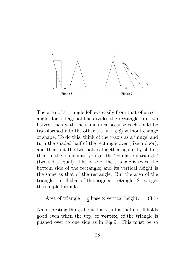

The area of a triangle follows easily from that of a rectangle: for a diagonal line divides the rectangle into two halves, each with the same area because each could be transformed into the other (as in Fig.8) without change of shape. To do this, think of the y-axis as a 'hinge' and turn the shaded half of the rectangle over (like a door); and then put the two halves together again, by sliding them in the plane until you get the 'equilateral triangle' (two sides equal). The base of the triangle is twice the bottom side of the rectangle; and its vertical height is the same as that of the rectangle. But the area of the triangle is still that of the original rectangle. So we get the simple formula

Area of triangle = 
$$
\frac{1}{2}
$$
 base × vertical height. (3.1)

An interesting thing about this result is that it still holds good even when the top, or vertex, of the triangle is pushed over to one side as in Fig.9. This must be so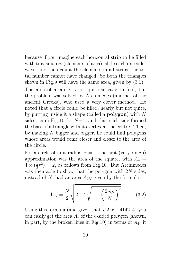because if you imagine each horizontal strip to be filled with tiny squares (elements of area), slide each one sideways, and then count the elements in all strips, the total number cannot have changed. So both the triangles shown in Fig.9 will have the same area, given by (3.1).

The area of a circle is not quite so easy to find, but the problem was solved by Archimedes (another of the ancient Greeks), who used a very clever method. He noted that a circle could be filled, nearly but not quite, by putting inside it a shape (called a **polygon**) with  $N$ sides, as in Fig.10 for  $N=4$ , and that each side formed the base of a triangle with its vertex at the centre. Then, by making N bigger and bigger, he could find polygons whose areas would come closer and closer to the area of the circle.

For a circle of unit radius,  $r = 1$ , the first (very rough) approximation was the area of the square, with  $A_4 =$  $4 \times (\frac{1}{2})$  $(\frac{1}{2}r^2) = 2$ , as follows from Fig.10. But Archimedes was then able to show that the polygon with  $2N$  sides, instead of N, had an area  $A_{2N}$  given by the formula

$$
A_{2N} = \frac{N}{2} \sqrt{2 - 2\sqrt{1 - \left(\frac{2A_N}{N}\right)^2}}.
$$
 (3.2)

Using this formula (and given that  $\sqrt{2} \approx 1.414214$ ) you can easily get the area  $A_8$  of the 8-sided polygon (shown, in part, by the broken lines in Fig.10) in terms of  $A_4$ : it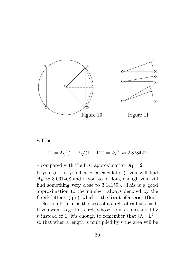

will be

$$
A_8 = 2\sqrt{(2 - 2\sqrt{(1 - 1^2)})} = 2\sqrt{2} \approx 2.828427.
$$

– compared with the first approximation  $A_4 = 2$ . If you go on (you'll need a calculator!) you will find  $A_{16} \approx 3.061468$  and if you go on long enough you will find something very close to 3.141593. This is a good approximation to the number, always denoted by the Greek letter  $\pi$  ('pi'), which is the **limit** of a series (Book 1, Section 5.1): it is the area of a circle of radius  $r = 1$ . If you want to go to a circle whose radius is measured by r instead of 1, it's enough to remember that  $[A]=L^2$  – so that when a length is multiplied by  $r$  the area will be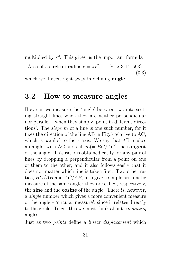multiplied by  $r^2$ . This gives us the important formula

Area of a circle of radius  $r = \pi r^2$   $(\pi \approx 3.141593)$ , (3.3)

which we'll need right away in defining angle.

### 3.2 How to measure angles

How can we measure the 'angle' between two intersecting straight lines when they are neither perpendicular nor parallel – when they simply 'point in different directions'. The slope m of a line is one such number, for it fixes the direction of the line AB in Fig.5 relative to AC, which is parallel to the x-axis. We say that AB 'makes an angle' with AC and call  $m (= BC/AC)$  the **tangent** of the angle. This ratio is obtained easily for any pair of lines by dropping a perpendicular from a point on one of them to the other; and it also follows easily that it does not matter which line is taken first. Two other ratios,  $BC/AB$  and  $AC/AB$ , also give a simple arithmetic measure of the same angle: they are called, respectively, the sine and the cosine of the angle. There is, however, a single number which gives a more convenient measure of the angle – 'circular measure', since it relates directly to the circle. To get this we must think about combining angles.

Just as two points define a linear displacement which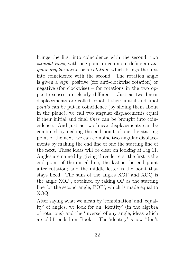brings the first into coincidence with the second; two straight lines, with one point in common, define an angular displacement, or a rotation, which brings the first into coincidence with the second. The rotation angle is given a sign, positive (for anti-clockwise rotation) or negative (for clockwise) – for rotations in the two opposite senses are clearly different. Just as two linear displacements are called equal if their initial and final points can be put in coincidence (by sliding them about in the plane), we call two angular displacements equal if their initial and final lines can be brought into coincidence. And just as two linear displacements can be combined by making the end point of one the starting point of the next, we can combine two angular displacements by making the end line of one the starting line of the next. These ideas will be clear on looking at Fig.11. Angles are named by giving three letters: the first is the end point of the initial line; the last is the end point after rotation; and the middle letter is the point that stays fixed. The sum of the angles XOP and XOQ is the angle XOP', obtained by taking OP as the starting line for the second angle, POP', which is made equal to XOQ.

After saying what we mean by 'combination' and 'equality' of angles, we look for an 'identity' (in the algebra of rotations) and the 'inverse' of any angle, ideas which are old friends from Book 1. The 'identity' is now "don't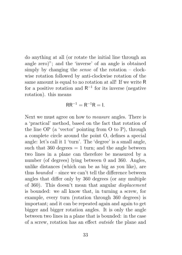do anything at all (or rotate the initial line through an angle zero)"; and the 'inverse' of an angle is obtained simply by changing the *sense* of the rotation  $-\text{clock}$ wise rotation followed by anti-clockwise rotation of the same amount is equal to no rotation at all! If we write R for a positive rotation and  $R^{-1}$  for its inverse (negative rotation). this means

$$
RR^{-1} = R^{-1}R = I.
$$

Next we must agree on how to measure angles. There is a 'practical' method, based on the fact that rotation of the line OP (a 'vector' pointing from O to P), through a complete circle around the point O, defines a special angle: let's call it 1 'turn'. The 'degree' is a small angle, such that  $360 \text{ degrees} = 1 \text{ turn}$ ; and the angle between two lines in a plane can therefore be measured by a number (of degrees) lying between 0 and 360. Angles, unlike distances (which can be as big as you like), are thus *bounded* – since we can't tell the difference between angles that differ only by 360 degrees (or any multiple of 360). This doesn't mean that angular displacement is bounded: we all know that, in turning a screw, for example, every turn (rotation through 360 degrees) is important; and it can be repeated again and again to get bigger and bigger rotation angles. It is only the angle between two lines in a plane that is bounded: in the case of a screw, rotation has an effect outside the plane and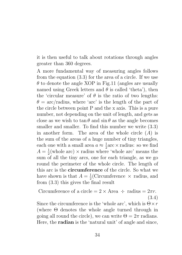it is then useful to talk about rotations through angles greater than 360 degrees.

A more fundamental way of measuring angles follows from the equation (3.3) for the area of a circle. If we use  $\theta$  to denote the angle XOP in Fig.11 (angles are usually named using Greek letters and  $\theta$  is called 'theta'), then the 'circular measure' of  $\theta$  is the ratio of two lengths:  $\theta = \arctan \theta$ , where 'arc' is the length of the part of the circle between point P and the x axis. This is a pure number, not depending on the unit of length, and gets as close as we wish to  $\tan \theta$  and  $\sin \theta$  as the angle becomes smaller and smaller. To find this number we write  $(3.3)$ in another form. The area of the whole circle  $(A)$  is the sum of the areas of a huge number of tiny triangles, each one with a small area  $a \approx \frac{1}{2}$  $\frac{1}{2}$ arc × radius: so we find  $A=\frac{1}{2}$  $\frac{1}{2}$ (whole arc)  $\times$  radius where 'whole arc' means the sum of all the tiny arcs, one for each triangle, as we go round the perimeter of the whole circle. The length of this arc is the circumference of the circle. So what we have shown is that  $A=\frac{1}{2}$  $\frac{1}{2}$ (Circumference  $\times$  radius, and from (3.3) this gives the final result

Circumference of a circle =  $2 \times$  Area  $\div$  radius =  $2\pi r$ . (3.4) Since the circumference is the 'whole arc', which is  $\Theta \times r$ 

(where Θ denotes the whole angle turned through in going all round the circle), we can write  $\Theta = 2\pi$  radians. Here, the radian is the 'natural unit' of angle and since,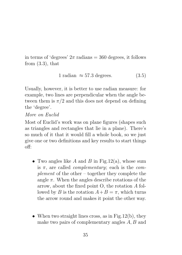in terms of 'degrees'  $2\pi$  radians = 360 degrees, it follows from  $(3.3)$ , that

$$
1 \text{ radian } \approx 57.3 \text{ degrees.} \tag{3.5}
$$

Usually, however, it is better to use radian measure: for example, two lines are perpendicular when the angle between them is  $\pi/2$  and this does not depend on defining the 'degree'.

#### More on Euclid

Most of Euclid's work was on plane figures (shapes such as triangles and rectangles that lie in a plane). There's so much of it that it would fill a whole book, so we just give one or two definitions and key results to start things off:

- Two angles like A and B in Fig.  $12(a)$ , whose sum is  $\pi$ , are called *complementary*; each is the *com*plement of the other – together they complete the angle  $\pi$ . When the angles describe rotations of the arrow, about the fixed point O, the rotation A followed by B is the rotation  $A+B=\pi$ , which turns the arrow round and makes it point the other way.
- When two straight lines cross, as in Fig.  $12(b)$ , they make two pairs of complementary angles A, B and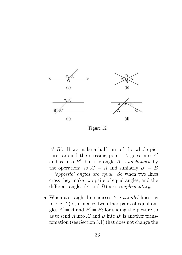

Figure 12

 $A', B'$ . If we make a half-turn of the whole picture, around the crossing point, A goes into  $A'$ and  $B$  into  $B'$ , but the angle  $A$  is unchanged by the operation: so  $A' = A$  and similarly  $B' = B$ – 'opposite' angles are equal. So when two lines cross they make two pairs of equal angles; and the different angles  $(A \text{ and } B)$  are *complementary*.

• When a straight line crosses two parallel lines, as in Fig.12 $(c)$ , it makes two other pairs of equal angles  $A' = A$  and  $B' = B$ ; for sliding the picture so as to send A into  $A'$  and B into  $B'$  is another transfomation (see Section 3.1) that does not change the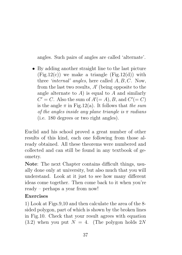angles. Such pairs of angles are called 'alternate'.

• By adding another straight line to the last picture  $(Fig.12(c))$  we make a triangle  $(Fig.12(d))$  with three 'internal' angles, here called A, B, C. Now, from the last two results,  $A'$  (being opposite to the angle alternate to  $A$ ) is equal to  $A$  and similarly  $C' = C$ . Also the sum of  $A' (= A)$ , B, and  $C' (= C)$ is the angle  $\pi$  in Fig. 12(a). It follows that the sum of the angles inside any plane triangle is  $\pi$  radians (i.e. 180 degrees or two right angles).

Euclid and his school proved a great number of other results of this kind, each one following from those already obtained. All these theorems were numbered and collected and can still be found in any textbook of geometry.

Note: The next Chapter contains difficult things, usually done only at university, but also much that you will understand. Look at it just to see how many different ideas come together. Then come back to it when you're ready – perhaps a year from now!

### Exercises

1) Look at Figs.9,10 and then calculate the area of the 8 sided polygon, part of which is shown by the broken lines in Fig.10. Check that your result agrees with equation  $(3.2)$  when you put  $N = 4$ . (The polygon holds 2N)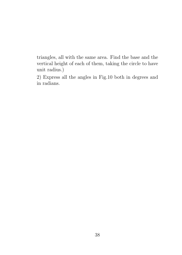triangles, all with the same area. Find the base and the vertical height of each of them, taking the circle to have unit radius.)

2) Express all the angles in Fig.10 both in degrees and in radians.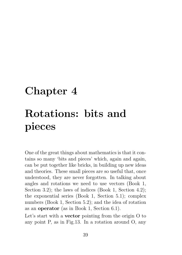# Chapter 4 Rotations: bits and pieces

One of the great things about mathematics is that it contains so many 'bits and pieces' which, again and again, can be put together like bricks, in building up new ideas and theories. These small pieces are so useful that, once understood, they are never forgotten. In talking about angles and rotations we need to use vectors (Book 1, Section 3.2); the laws of indices (Book 1, Section 4.2); the exponential series (Book 1, Section 5.1); complex numbers (Book 1, Section 5.2); and the idea of rotation as an operator (as in Book 1, Section 6.1).

Let's start with a **vector** pointing from the origin O to any point P, as in Fig.13. In a rotation around O, any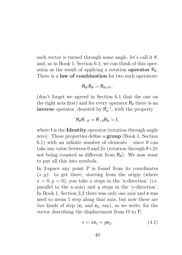such vector is turned through some angle, let's call it  $\theta$ , and, as in Book 1, Section 6.1, we can think of this operation as the result of applying a rotation operator  $R_{\theta}$ . There is a **law of combination** for two such operators:

$$
R_{\theta'}R_{\theta}=R_{\theta+\theta'},
$$

(don't forget we agreed in Section 6.1 that the one on the right acts first) and for every operator  $R_{\theta}$  there is an **inverse** operator, denoted by  $R_{\theta}^{-1}$  $\bar{\theta}^{-1}$ , with the property

$$
R_{\theta}R_{-\theta}=R_{-\theta}R_{\theta}=I,
$$

where I is the **Identity** operator (rotation through angle zero). These properties define a group (Book 1, Section 6.1) with an infinite number of elements – since  $\theta$  can take any value between 0 and  $2\pi$  (rotation through  $\theta+2\pi$ ) not being counted as different from  $R_{\theta}$ ). We now want to put all this into symbols.

In 2-space any point P is found from its coordinates  $(x, y)$ : to get there, starting from the origin (where  $x = 0, y = 0$ , you take x steps in the 'x-direction' (i.e. parallel to the x-axis) and y steps in the 'y-direction'. In Book 1, Section 3.2 there was only one axis and e was used to mean 1 step along that axis; but now there are two kinds of step ( $e_1$  and  $e_2$ , say), so we write, for the vector describing the displacement from O to P,

$$
\mathsf{r} = x\mathsf{e}_1 + y\mathsf{e}_2,\tag{4.1}
$$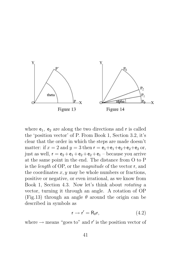

where  $e_1$ ,  $e_2$  are along the two directions and r is called the 'position vector' of P. From Book 1, Section 3.2, it's clear that the order in which the steps are made doesn't matter: if  $x = 2$  and  $y = 3$  then  $\mathsf{r} = \mathsf{e}_1 + \mathsf{e}_1 + \mathsf{e}_2 + \mathsf{e}_2 + \mathsf{e}_2$  or, just as well,  $r = e_2 + e_1 + e_2 + e_2 + e_1$  – because you arrive at the same point in the end. The distance from O to P is the length of OP, or the magnitude of the vector r, and the coordinates  $x, y$  may be whole numbers or fractions, positive or negative, or even irrational, as we know from Book 1, Section 4.3. Now let's think about rotating a vector, turning it through an angle. A rotation of OP (Fig.13) through an angle  $\theta$  around the origin can be described in symbols as

$$
r \to r' = R_{\theta}r, \tag{4.2}
$$

where  $\rightarrow$  means "goes to" and  $r'$  is the position vector of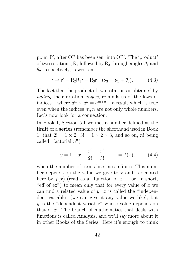point P', after OP has been sent into OP'. The 'product' of two rotations,  $R_1$  followed by  $R_2$  through angles  $\theta_1$  and  $\theta_2$ , respectively, is written

$$
\mathsf{r} \to \mathsf{r}' = \mathsf{R}_2 \mathsf{R}_1 \mathsf{r} = \mathsf{R}_3 \mathsf{r} \quad (\theta_3 = \theta_1 + \theta_2). \tag{4.3}
$$

The fact that the product of two rotations is obtained by adding their rotation angles, reminds us of the laws of indices – where  $a^m \times a^n = a^{m+n}$  – a result which is true even when the indices  $m, n$  are not only whole numbers. Let's now look for a connection.

In Book 1, Section 5.1 we met a number defined as the limit of a series (remember the shorthand used in Book 1, that  $2! = 1 \times 2$ ,  $3! = 1 \times 2 \times 3$ , and so on, n! being called "factorial  $n$ ")

$$
y = 1 + x + \frac{x^2}{2!} + \frac{x^3}{3!} + \dots = f(x), \quad (4.4)
$$

when the number of terms becomes infinite. This number depends on the value we give to  $x$  and is denoted here by  $f(x)$  (read as a "function of  $x$ " – or, in short, "eff of  $ex$ ") to mean only that for every value of x we can find a related value of  $y: x$  is called the "independent variable" (we can give it any value we like), but y is the "dependent variable" whose value depends on that of  $x$ . The branch of mathematics that deals with functions is called Analysis, and we'll say more about it in other Books of the Series. Here it's enough to think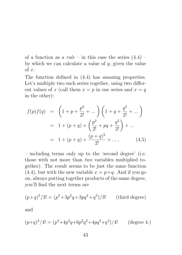of a function as a  $rule -$  in this case the series  $(4.4)$  – by which we can calculate a value of  $y$ , given the value of  $x$ .

The function defined in (4.4) has amazing properties. Let's multiply two such series together, using two different values of x (call them  $x = p$  in one series and  $x = q$ in the other):

$$
f(p)f(q) = \left(1 + p + \frac{p^2}{2!} + \dots\right) \left(1 + q + \frac{q^2}{2!} + \dots\right)
$$
  
= 1 + (p + q) + \left(\frac{p^2}{2!} + pq + \frac{q^2}{2!}\right) + \dots  
= 1 + (p + q) + \frac{(p + q)^2}{2!} + \dots, (4.5)

– including terms only up to the 'second degree' (i.e. those with not more than two variables multiplied together). The result seems to be just the same function  $(4.4)$ , but with the new variable  $x = p+q$ . And if you go on, always putting together products of the same degree, you'll find the next terms are

$$
(p+q)^{3}/3! = (p^{3}+3p^{2}q+3pq^{2}+q^{3})/3!
$$
 (third degree)

and

$$
(p+q)^{4}/4! = (p^{4} + 4p^{3}q + 6p^{2}q^{2} + 4pq^{3} + q^{4})/4!
$$
 (degree 4.)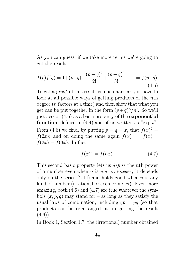As you can guess, if we take more terms we're going to get the result

$$
f(p)f(q) = 1 + (p+q) + \frac{(p+q)^2}{2!} + \frac{(p+q)^3}{3!} + \dots = f(p+q).
$$
\n(4.6)

To get a proof of this result is much harder: you have to look at all possible ways of getting products of the nth degree (n factors at a time) and then show that what you get can be put together in the form  $(p+q)^n/n!$ . So we'll just accept (4.6) as a basic property of the exponential function, defined in  $(4.4)$  and often written as "exp x". From (4.6) we find, by putting  $p = q = x$ , that  $f(x)^2 =$  $f(2x)$ ; and on doing the same again  $f(x)^3 = f(x) \times$  $f(2x) = f(3x)$ . In fact

$$
f(x)^n = f(nx). \tag{4.7}
$$

This second basic property lets us define the nth power of a number even when  $n$  is *not an integer*; it depends only on the series  $(2.14)$  and holds good when n is any kind of number (irrational or even complex). Even more amazing, both (4.6) and (4.7) are true whatever the symbols  $(x, p, q)$  may stand for – as long as they satisfy the usual laws of combination, including  $qp = pq$  (so that products can be re-arranged, as in getting the result  $(4.6)$ .

In Book 1, Section 1.7, the (irrational) number obtained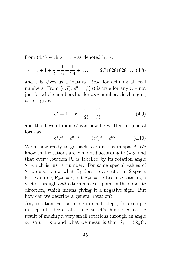from (4.4) with  $x = 1$  was denoted by e:

$$
e = 1 + 1 + \frac{1}{2} + \frac{1}{6} + \frac{1}{24} + \dots = 2.718281828\dots (4.8)
$$

and this gives us a 'natural' base for defining all real numbers. From (4.7),  $e^n = f(n)$  is true for any  $n - not$ just for whole numbers but for any number. So changing  $n$  to  $x$  gives

$$
e^x = 1 + x + \frac{x^2}{2!} + \frac{x^3}{3!} + \dots \,, \tag{4.9}
$$

and the 'laws of indices' can now be written in general form as

$$
e^x e^y = e^{x+y}
$$
,  $(e^x)^y = e^{xy}$ . (4.10)

We're now ready to go back to rotations in space! We know that rotations are combined according to (4.3) and that every rotation  $R_{\theta}$  is labelled by its rotation angle  $\theta$ , which is just a number. For some special values of θ, we also know what  $\mathsf{R}_{\theta}$  does to a vector in 2-space. For example,  $R_{2\pi}r = r$ , but  $R_{\pi}r = -r$  because rotating a vector through half a turn makes it point in the opposite direction, which means giving it a negative sign. But how can we describe a general rotation?

Any rotation can be made in small steps, for example in steps of 1 degree at a time, so let's think of  $R_{\theta}$  as the result of making n very small rotations through an angle  $\alpha$ : so  $\theta = n\alpha$  and what we mean is that  $R_{\theta} = (R_{\alpha})^n$ ,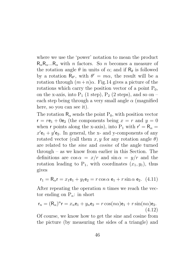where we use the 'power' notation to mean the product  $R_{\alpha}R_{\alpha}...R_{\alpha}$  with *n* factors. So *n* becomes a measure of the rotation angle  $\theta$  in units of  $\alpha$ ; and if  $R_{\theta}$  is followed by a rotation  $R_{\theta}$ , with  $\theta' = m\alpha$ , the result will be a rotation through  $(m+n)\alpha$ . Fig.14 gives a picture of the rotations which carry the position vector of a point  $P_0$ , on the x-axis, into  $P_1$  (1 step),  $P_2$  (2 steps), and so on – each step being through a very small angle  $\alpha$  (magnified here, so you can see it).

The rotation  $R_{\alpha}$  sends the point  $P_0$ , with position vector  $r = r e_1 + 0e_2$  (the components being  $x = r$  and  $y = 0$ when r points along the x-axis), into P<sub>1</sub> with  $r' = R_{\alpha}$  $x'e_1 + y'e_2$ . In general, the x- and y-components of any rotated vector (call them  $x, y$  for any rotation angle  $\theta$ ) are related to the sine and cosine of the angle turned through – as we know from earlier in this Section. The definitions are  $\cos \alpha = x/r$  and  $\sin \alpha = y/r$  and the rotation leading to  $P_1$ , with coordinates  $(x_1, y_1)$ , thus gives

$$
\mathbf{r}_1 = \mathbf{R}_{\alpha}\mathbf{r} = x_1\mathbf{e}_1 + y_1\mathbf{e}_2 = r\cos\alpha\,\mathbf{e}_1 + r\sin\alpha\,\mathbf{e}_2. \tag{4.11}
$$

After repeating the operation  $n$  times we reach the vector ending on  $P_n$ : in short

$$
\mathbf{r}_n = (\mathsf{R}_{\alpha})^n \mathsf{r} = x_n \mathsf{e}_1 + y_n \mathsf{e}_2 = r \cos(n\alpha) \mathsf{e}_1 + r \sin(n\alpha) \mathsf{e}_2.
$$
\n(4.12)

Of course, we know how to get the sine and cosine from the picture (by measuring the sides of a triangle) and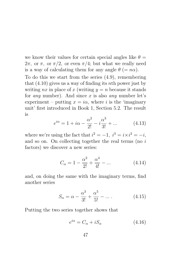we know their values for certain special angles like  $\theta =$  $2\pi$ , or  $\pi$ , or  $\pi/2$ , or even  $\pi/4$ ; but what we really need is a way of calculating them for any angle  $\theta (= n\alpha)$ .

To do this we start from the series (4.9), remembering that  $(4.10)$  gives us a way of finding its nth power just by writing nx in place of x (writing  $y = n$  because it stands for *any* number). And since x is also *any* number let's experiment – putting  $x = i\alpha$ , where i is the 'imaginary unit' first introduced in Book 1, Section 5.2. The result is

$$
e^{i\alpha} = 1 + i\alpha - \frac{\alpha^2}{2!} - i\frac{\alpha^3}{3!} + \dots
$$
 (4.13)

where we're using the fact that  $i^2 = -1$ ,  $i^3 = i \times i^2 = -i$ , and so on. On collecting together the real terms (no i factors) we discover a new series:

$$
C_{\alpha} = 1 - \frac{\alpha^2}{2!} + \frac{\alpha^4}{4!} - \dots
$$
 (4.14)

and, on doing the same with the imaginary terms, find another series

$$
S_{\alpha} = \alpha - \frac{\alpha^3}{3!} + \frac{\alpha^5}{5!} - \dots
$$
 (4.15)

Putting the two series together shows that

$$
e^{i\alpha} = C_{\alpha} + iS_{\alpha} \tag{4.16}
$$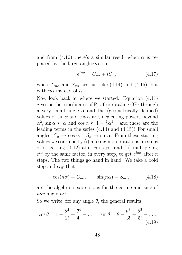and from (4.10) there's a similar result when  $\alpha$  is replaced by the large angle  $n\alpha$ ; so

$$
e^{in\alpha} = C_{n\alpha} + iS_{n\alpha}, \qquad (4.17)
$$

where  $C_{n\alpha}$  and  $S_{n\alpha}$  are just like (4.14) and (4.15), but with  $n\alpha$  instead of  $\alpha$ .

Now look back at where we started: Equation (4.11) gives us the coordinates of  $P_1$  after rotating  $OP_0$  through a very small angle  $\alpha$  and the (geometrically defined) values of  $\sin \alpha$  and  $\cos \alpha$  are, neglecting powers beyond  $\alpha^2$ , sin  $\alpha \approx \alpha$  and cos  $\alpha \approx 1-\frac{1}{2}$  $\frac{1}{2}\alpha^2$  – and these are the leading terms in the series (4.14) and (4.15)! For small angles,  $C_{\alpha} \rightarrow \cos \alpha$ ,  $S_{\alpha} \rightarrow \sin \alpha$ . From these starting values we continue by (i) making more rotations, in steps of  $\alpha$ , getting (4.12) after *n* steps; and (ii) multiplying  $e^{i\alpha}$  by the same factor, in every step, to get  $e^{in\alpha}$  after n steps. The two things go hand in hand. We take a bold step and say that

$$
\cos(n\alpha) = C_{n\alpha}, \qquad \sin(n\alpha) = S_{n\alpha}, \tag{4.18}
$$

are the algebraic expressions for the cosine and sine of *any* angle  $n\alpha$ .

So we write, for any angle  $\theta$ , the general results

$$
\cos \theta = 1 - \frac{\theta^2}{2!} + \frac{\theta^4}{4!} - \dots, \quad \sin \theta = \theta - \frac{\theta^3}{3!} + \frac{\theta^5}{5!} - \dots
$$
\n(4.19)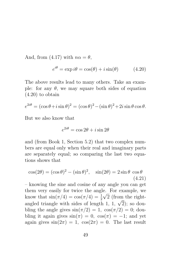And, from (4.17) with  $n\alpha = \theta$ ,

$$
e^{i\theta} = \exp i\theta = \cos(\theta) + i\sin(\theta) \tag{4.20}
$$

The above results lead to many others. Take an example: for any  $\theta$ , we may square both sides of equation (4.20) to obtain

$$
e^{2i\theta} = (\cos\theta + i\sin\theta)^2 = (\cos\theta)^2 - (\sin\theta)^2 + 2i\sin\theta\cos\theta.
$$

But we also know that

$$
e^{2i\theta} = \cos 2\theta + i \sin 2\theta
$$

and (from Book 1, Section 5.2) that two complex numbers are equal only when their real and imaginary parts are separately equal; so comparing the last two equations shows that

$$
\cos(2\theta) = (\cos \theta)^2 - (\sin \theta)^2, \quad \sin(2\theta) = 2\sin \theta \cos \theta
$$
\n(4.21)

– knowing the sine and cosine of any angle you can get them very easily for twice the angle. For example, we know that  $\sin(\pi/4) = \cos(\pi/4) = \frac{1}{2}\sqrt{2}$  (from the right-Allow that  $\sin(\pi/4) = \cos(\pi/4) = \frac{1}{2} \sqrt{2}$  (from the right-<br>angled triangle with sides of length 1, 1,  $\sqrt{2}$ ); so doubling the angle gives  $\sin(\pi/2) = 1$ ,  $\cos(\pi/2) = 0$ ; doubling it again gives  $sin(\pi) = 0$ ,  $cos(\pi) = -1$ ; and yet again gives  $sin(2\pi) = 1$ ,  $cos(2\pi) = 0$ . The last result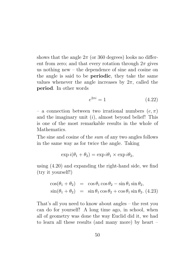shows that the angle  $2\pi$  (or 360 degrees) looks no different from zero; and that every rotation through  $2\pi$  gives us nothing new – the dependence of sine and cosine on the angle is said to be periodic, they take the same values whenever the angle increases by  $2\pi$ , called the period. In other words

$$
e^{2\pi i} = 1\tag{4.22}
$$

– a connection between two irrational numbers  $(e, \pi)$ and the imaginary unit  $(i)$ , almost beyond belief! This is one of the most remarkable results in the whole of Mathematics.

The sine and cosine of the sum of any two angles follows in the same way as for twice the angle. Taking

$$
\exp i(\theta_1 + \theta_2) = \exp i\theta_1 \times \exp i\theta_2,
$$

using (4.20) and expanding the right-hand side, we find (try it yourself!)

$$
\cos(\theta_1 + \theta_2) = \cos \theta_1 \cos \theta_2 - \sin \theta_1 \sin \theta_2,
$$
  
\n
$$
\sin(\theta_1 + \theta_2) = \sin \theta_1 \cos \theta_2 + \cos \theta_1 \sin \theta_2.
$$
 (4.23)

That's all you need to know about angles – the rest you can do for yourself! A long time ago, in school, when all of geometry was done the way Euclid did it, we had to learn all these results (and many more) by heart –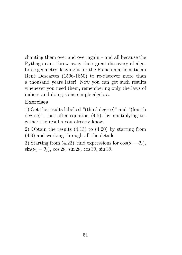chanting them over and over again – and all because the Pythagoreans threw away their great discovery of algebraic geometry, leaving it for the French mathematician René Descartes (1596-1650) to re-discover more than a thousand years later! Now you can get such results whenever you need them, remembering only the laws of indices and doing some simple algebra.

### Exercises

1) Get the results labelled "(third degree)" and "(fourth degree)", just after equation (4.5), by multiplying together the results you already know.

2) Obtain the results (4.13) to (4.20) by starting from (4.9) and working through all the details.

3) Starting from (4.23), find expressions for  $\cos(\theta_1 - \theta_2)$ ,  $\sin(\theta_1 - \theta_2)$ ,  $\cos 2\theta$ ,  $\sin 2\theta$ ,  $\cos 3\theta$ ,  $\sin 3\theta$ .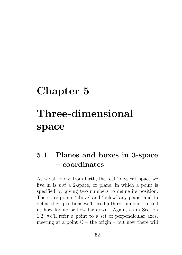# Chapter 5 Three-dimensional space

## 5.1 Planes and boxes in 3-space – coordinates

As we all know, from birth, the real 'physical' space we live in is not a 2-space, or plane, in which a point is specified by giving two numbers to define its position. There are points 'above' and 'below' any plane; and to define their positions we'll need a third number – to tell us how far up or how far down. Again, as in Section 1.2, we'll refer a point to a set of perpendicular axes, meeting at a point  $O -$  the origin – but now there will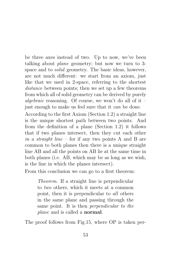be three axes instead of two. Up to now, we've been talking about plane geometry; but now we turn to 3 space and to solid geometry. The basic ideas, however, are not much different: we start from an axiom, just like that we used in 2-space, referring to the shortest distance between points; then we set up a few theorems from which all of solid geometry can be derived by purely algebraic reasoning. Of course, we won't do all of it – just enough to make us feel sure that it can be done.

According to the first Axiom (Section 1.2) a straight line is the unique shortest path between two points. And from the definition of a plane (Section 1.2) it follows that if two planes intersect, then they cut each other in a straight line – for if any two points A and B are common to both planes then there is a unique straight line AB and all the points on AB lie at the same time in both planes (i.e. AB, which may be as long as we wish, is the line in which the planes intersect).

From this conclusion we can go to a first theorem:

Theorem. If a straight line is perpendicular to two others, which it meets at a common point, then it is perpendicular to all others in the same plane and passing through the same point. It is then perpendicular to the plane and is called a normal.

The proof follows from Fig.15, where OP is taken per-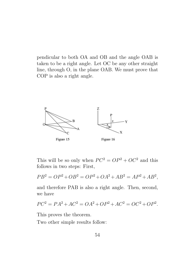pendicular to both OA and OB and the angle OAB is taken to be a right angle. Let OC be any other straight line, through O, in the plane OAB. We must prove that COP is also a right angle.



This will be so only when  $PC^2 = OP^2 + OC^2$  and this follows in two steps: First,

$$
PB2 = OP2 + OB2 = OP2 + OA2 + AB2 = AP2 + AB2,
$$

and therefore PAB is also a right angle. Then, second, we have

$$
PC^2 = PA^2 + AC^2 = OA^2 + OP^2 + AC^2 = OC^2 + OP^2.
$$

This proves the theorem.

Two other simple results follow: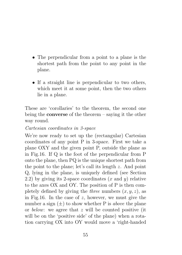- The perpendicular from a point to a plane is the shortest path from the point to any point in the plane.
- If a straight line is perpendicular to two others, which meet it at some point, then the two others lie in a plane.

These are 'corollaries' to the theorem, the second one being the **converse** of the theorem – saying it the other way round.

#### Cartesian coordinates in 3-space

We're now ready to set up the (rectangular) Cartesian coordinates of any point P in 3-space. First we take a plane OXY and the given point P, outside the plane as in Fig.16. If Q is the foot of the perpendicular from P onto the plane, then PQ is the unique shortest path from the point to the plane; let's call its length z. And point Q, lying in the plane, is uniquely defined (see Section 2.2) by giving its 2-space coordinates  $(x \text{ and } y)$  relative to the axes OX and OY. The position of P is then completely defined by giving the *three* numbers  $(x, y, z)$ , as in Fig.16. In the case of  $z$ , however, we must give the number a sign  $(\pm)$  to show whether P is *above* the plane or below: we agree that z will be counted positive (it will be on the 'positive side' of the plane) when a rotation carrying OX into OY would move a 'right-handed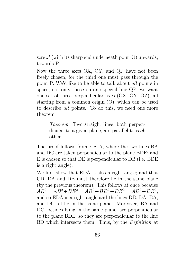screw' (with its sharp end underneath point O) upwards, towards P.

Now the three axes OX, OY, and QP have not been freely chosen, for the third one must pass through the point P. We'd like to be able to talk about all points in space, not only those on one special line QP; we want one set of three perpendicular axes (OX, OY, OZ), all starting from a common origin (O), which can be used to describe all points. To do this, we need one more theorem

> Theorem. Two straight lines, both perpendicular to a given plane, are parallel to each other.

The proof follows from Fig.17, where the two lines BA and DC are taken perpendicular to the plane BDE; and E is chosen so that DE is perpendicular to DB (i.e. BDE is a right angle).

We first show that EDA is also a right angle; and that CD, DA and DB must therefore lie in the same plane (by the previous theorem). This follows at once because  $AE^2 = AB^2 + BE^2 = AB^2 + BD^2 + DE^2 = AD^2 + DE^2$ , and so EDA is a right angle and the lines DB, DA, BA, and DC all lie in the same plane. Moreover, BA and DC, besides lying in the same plane, are perpendicular to the plane BDE; so they are perpendicular to the line BD which intersects them. Thus, by the Definition at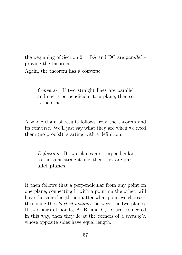the beginning of Section 2.1, BA and DC are *parallel*  $$ proving the theorem.

Again, the theorem has a converse:

Converse. If two straight lines are parallel and one is perpendicular to a plane, then so is the other.

A whole chain of results follows from the theorem and its converse. We'll just say what they are when we need them (no proofs!), starting with a definition:

Definition. If two planes are perpendicular to the same straight line, then they are parallel planes.

It then follows that a perpendicular from any point on one plane, connecting it with a point on the other, will have the same length no matter what point we choose – this being the shortest distance between the two planes. If two pairs of points, A, B, and C, D, are connected in this way, then they lie at the corners of a rectangle, whose opposite sides have equal length.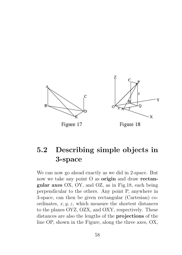

## 5.2 Describing simple objects in 3-space

We can now go ahead exactly as we did in 2-space. But now we take any point O as **origin** and draw **rectan**gular axes OX, OY, and OZ, as in Fig.18, each being perpendicular to the others. Any point P, anywhere in 3-space, can then be given rectangular (Cartesian) coordinates,  $x, y, z$ , which measure the shortest distances to the planes OYZ, OZX, and OXY, respectively. These distances are also the lengths of the projections of the line OP, shown in the Figure, along the three axes, OX,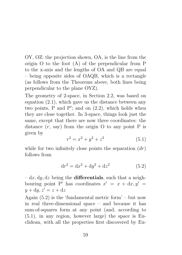OY, OZ: the projection shown, OA, is the line from the origin O to the foot (A) of the perpendicular from P to the x-axis and the lengths of OA and QB are equal – being opposite sides of OAQB, which is a rectangle (as follows from the Theorems above, both lines being perpendicular to the plane OYZ).

The geometry of 2-space, in Section 2.2, was based on equation (2.1), which gave us the distance between any two points,  $P$  and  $P'$ ; and on  $(2.2)$ , which holds when they are close together. In 3-space, things look just the same, except that there are now three coordinates: the distance  $(r, say)$  from the origin O to any point P is given by

$$
r^2 = x^2 + y^2 + z^2 \tag{5.1}
$$

while for two infinitely close points the separation  $(dr)$ follows from

$$
dr^{2} = dx^{2} + dy^{2} + dz^{2}
$$
 (5.2)

 $-\,dx, dy, dz$  being the **differentials**, such that a neighbouring point P' has coordinates  $x' = x + dx, y' = 0$  $y + dy, z' = z + dz$ 

Again  $(5.2)$  is the 'fundamental metric form' – but now in real three-dimensional space – and because it has sum-of-squares form at any point (and, according to (5.1), in any region, however large) the space is Euclidean, with all the properties first discovered by Eu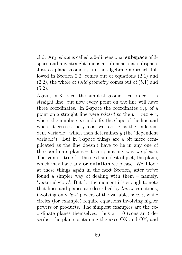clid. Any plane is called a 2-dimensional subspace of 3 space and any straight line is a 1-dimensional subspace. Just as plane geometry, in the algebraic approach followed in Section 2.2, comes out of equations (2.1) and  $(2.2)$ , the whole of *solid geometry* comes out of  $(5.1)$  and  $(5.2).$ 

Again, in 3-space, the simplest geometrical object is a straight line; but now every point on the line will have three coordinates. In 2-space the coordinates  $x, y$  of a point on a straight line were *related* so the  $y = mx + c$ , where the numbers  $m$  and  $c$  fix the slope of the line and where it crosses the y-axis; we took  $x$  as the 'independent variable', which then determines  $y$  (the 'dependent variable'). But in 3-space things are a bit more complicated as the line doesn't have to lie in any one of the coordinate planes – it can point any way we please. The same is true for the next simplest object, the plane, which may have any **orientation** we please. We'll look at these things again in the next Section, after we've found a simpler way of dealing with them – namely, 'vector algebra'. But for the moment it's enough to note that lines and planes are described by linear equations, involving only *first* powers of the variables  $x, y, z$ , while circles (for example) require equations involving higher powers or products. The simplest examples are the coordinate planes themselves: thus  $z = 0$  (constant) describes the plane containing the axes OX and OY, and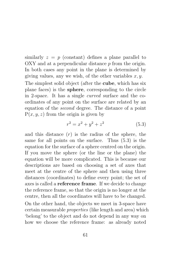similarly  $z = p$  (constant) defines a plane parallel to  $OXY$  and at a perpendicular distance  $p$  from the origin. In both cases any point in the plane is determined by giving values, any we wish, of the other variables  $x, y$ . The simplest solid object (after the cube, which has six plane faces) is the sphere, corresponding to the circle in 2-space. It has a single curved surface and the coordinates of any point on the surface are related by an equation of the second degree. The distance of a point

 $P(x, y, z)$  from the origin is given by

$$
r^2 = x^2 + y^2 + z^2 \tag{5.3}
$$

and this distance  $(r)$  is the radius of the sphere, the same for all points on the surface. Thus (5.3) is the equation for the surface of a sphere centred on the origin. If you move the sphere (or the line or the plane) the equation will be more complicated. This is because our descriptions are based on choosing a set of axes that meet at the centre of the sphere and then using three distances (coordinates) to define every point; the set of axes is called a reference frame. If we decide to change the reference frame, so that the origin is no longer at the centre, then all the coordinates will have to be changed. On the other hand, the objects we meet in 3-space have certain measurable properties (like length and area) which

'belong' to the object and do not depend in any way on how we choose the reference frame: as already noted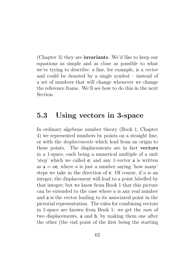(Chapter 3) they are invariants. We'd like to keep our equations as simple and as close as possible to what we're trying to describe: a line, for example, is a vector and could be denoted by a single symbol – instead of a set of numbers that will change whenever we change the reference frame. We'll see how to do this in the next Section.

### 5.3 Using vectors in 3-space

In ordinary algebraic number theory (Book 1, Chapter 4) we represented numbers by points on a straight line, or with the displacements which lead from an origin to these points. The displacements are in fact vectors in a 1-space, each being a numerical multiple of a unit 'step' which we called e; and any 1-vector a is written as  $a = ae$ , where a is just a number saying 'how many' steps we take in the direction of  $e$ . Of course, if  $a$  is an integer, the displacement will lead to a point labelled by that integer; but we know from Book 1 that this picture can be extended to the case where  $a$  is any real number and a is the vector leading to its associated point in the pictorial representation. The rules for combining vectors in 1-space are known from Book 1: we get the sum of two displacements, a and b, by making them one after the other (the end point of the first being the starting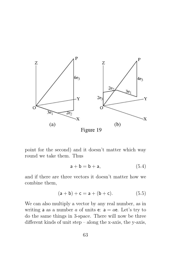

point for the second) and it doesn't matter which way round we take them. Thus

$$
\mathsf{a} + \mathsf{b} = \mathsf{b} + \mathsf{a},\tag{5.4}
$$

and if there are three vectors it doesn't matter how we combine them,

$$
(a + b) + c = a + (b + c).
$$
 (5.5)

We can also multiply a vector by any real number, as in writing a as a number a of units e:  $a = ae$ . Let's try to do the same things in 3-space. There will now be three different kinds of unit step – along the x-axis, the y-axis,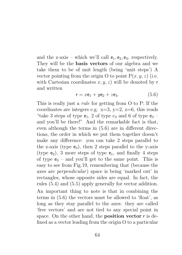and the z-axis – which we'll call  $e_1, e_2, e_3$ , respectively. They will be the basis vectors of our algebra and we take them to be of unit length (being 'unit steps') A vector pointing from the origin O to point  $P(x, y, z)$  (i.e. with Cartesian coordinates  $x, y, z$ ) will be denoted by r and written

$$
\mathsf{r} = x\mathsf{e}_1 + y\mathsf{e}_2 + z\mathsf{e}_3. \tag{5.6}
$$

This is really just a *rule* for getting from O to P: If the coordinates are integers e.g.  $x=3$ ,  $y=2$ ,  $z=6$ , this reads "take 3 steps of type  $e_1$ , 2 of type  $e_2$  and 6 of type  $e_3$  – and you'll be there!" And the remarkable fact is that, even although the terms in (5.6) are in different directions, the order in which we put them together doesn't make any difference: you can take 2 steps parallel to the z-axis (type  $e_3$ ), then 2 steps parallel to the y-axis (type  $e_2$ ), 3 more steps of type  $e_1$ , and finally 4 steps of type  $e_3$  – and you'll get to the same point. This is easy to see from Fig.19, remembering that (because the axes are *perpendicular*) space is being 'marked out' in rectangles, whose opposite sides are equal. In fact, the rules (5.4) and (5.5) apply generally for vector addition. An important thing to note is that in combining the terms in (5.6) the vectors must be allowed to 'float', as long as they stay parallel to the axes: they are called 'free vectors' and are not tied to any special point in space. On the other hand, the position vector r is defined as a vector leading from the origin O to a particular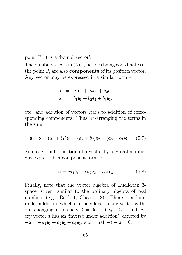point P: it is a 'bound vector'.

The numbers  $x, y, z$  in (5.6), besides being coordinates of the point P, are also components of its position vector. Any vector may be expressed in a similar form –

a = 
$$
a_1e_1 + a_2e_2 + a_3e_3
$$
  
b =  $b_1e_1 + b_2e_2 + b_3e_3$ ,

etc. and addition of vectors leads to addition of corresponding components. Thus, re-arranging the terms in the sum,

$$
\mathsf{a} + \mathsf{b} = (a_1 + b_1)\mathsf{e}_1 + (a_2 + b_2)\mathsf{e}_2 + (a_3 + b_3)\mathsf{e}_3. \tag{5.7}
$$

Similarly, multiplication of a vector by any real number c is expressed in component form by

$$
c\mathbf{a} = ca_1\mathbf{e}_1 + ca_2\mathbf{e}_2 + ca_3\mathbf{e}_3. \tag{5.8}
$$

Finally, note that the vector algebra of Euclidean 3 space is very similar to the ordinary algebra of real numbers (e.g. Book 1, Chapter 3). There is a 'unit under addition' which can be added to any vector without changing it, namely  $0 = 0e_1 + 0e_2 + 0e_3$ ; and every vector a has an 'inverse under addition', denoted by  $-a = -a_1e_1 - a_2e_2 - a_3e_3$ , such that  $-a + a = 0$ .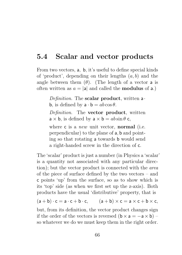### 5.4 Scalar and vector products

From two vectors, a, b, it's useful to define special kinds of 'product', depending on their lengths  $(a, b)$  and the angle between them  $(\theta)$ . (The length of a vector **a** is often written as  $a = |a|$  and called the **modulus** of a.)

> Definition. The scalar product, written a **b**, is defined by  $\mathbf{a} \cdot \mathbf{b} = ab \cos \theta$ .

> Definition. The vector product, written  $a \times b$ , is defined by  $a \times b = ab \sin \theta c$ ,

> where **c** is a *new* unit vector, **normal** (i.e. perpendicular) to the plane of a, b and pointing so that rotating a towards b would send a right-handed screw in the direction of c.

The 'scalar' product is just a number (in Physics a 'scalar' is a quantity not associated with any particular direction); but the vector product is connected with the area of the piece of surface defined by the two vectors – and c points 'up' from the surface, so as to show which is its 'top' side (as when we first set up the z-axis). Both products have the usual 'distributive' property, that is

 $(a + b) \cdot c = a \cdot c + b \cdot c$ ,  $(a + b) \times c = a \times c + b \times c$ 

but, from its definition, the vector product changes sign if the order of the vectors is reversed  $(b \times a = -a \times b)$  – so whatever we do we must keep them in the right order.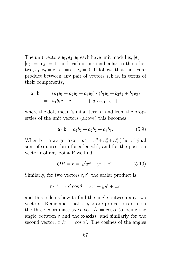The unit vectors  $e_1, e_2, e_3$  each have unit modulus,  $|e_1|$  =  $|e_2| = |e_3| = 1$ ; and each is perpendicular to the other two,  $e_1 \cdot e_2 = e_1 \cdot e_3 = e_2 \cdot e_3 = 0$ . It follows that the scalar product between any pair of vectors a, b is, in terms of their components,

$$
\begin{array}{rcl}\n\mathbf{a} \cdot \mathbf{b} & = & \left( a_1 \mathbf{e}_1 + a_2 \mathbf{e}_2 + a_3 \mathbf{e}_3 \right) \cdot \left( b_1 \mathbf{e}_1 + b_2 \mathbf{e}_2 + b_3 \mathbf{e}_3 \right) \\
& = & a_1 b_1 \mathbf{e}_1 \cdot \mathbf{e}_1 + \ldots + a_1 b_2 \mathbf{e}_1 \cdot \mathbf{e}_2 + \ldots \,,\n\end{array}
$$

where the dots mean 'similar terms'; and from the properties of the unit vectors (above) this becomes

$$
\mathsf{a} \cdot \mathsf{b} = a_1 b_1 + a_2 b_2 + a_3 b_3. \tag{5.9}
$$

When **b** = **a** we get  $\mathbf{a} \cdot \mathbf{a} = a^2 = a_1^2 + a_2^2 + a_3^2$  (the original sum-of-squares form for a length); and for the position vector r of any point P we find

$$
OP = r = \sqrt{x^2 + y^2 + z^2}.
$$
 (5.10)

Similarly, for two vectors  $r, r'$ , the scalar product is

$$
\mathbf{r} \cdot \mathbf{r}' = rr' \cos \theta = xx' + yy' + zz'
$$

and this tells us how to find the angle between any two vectors. Remember that  $x, y, z$  are projections of r on the three coordinate axes, so  $x/r = \cos \alpha$  ( $\alpha$  being the angle between r and the x-axis); and similarly for the second vector,  $x'/r' = \cos \alpha'$ . The cosines of the angles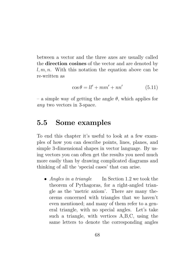between a vector and the three axes are usually called the direction cosines of the vector and are denoted by  $l, m, n$ . With this notation the equation above can be re-written as

$$
\cos \theta = ll' + mm' + nn'
$$
 (5.11)

– a simple way of getting the angle  $\theta$ , which applies for any two vectors in 3-space.

#### 5.5 Some examples

To end this chapter it's useful to look at a few examples of how you can describe points, lines, planes, and simple 3-dimensional shapes in vector language. By using vectors you can often get the results you need much more easily than by drawing complicated diagrams and thinking of all the 'special cases' that can arise.

• Angles in a triangle In Section 1.2 we took the theorem of Pythagoras, for a right-angled triangle as the 'metric axiom'. There are many theorems concerned with triangles that we haven't even mentioned; and many of them refer to a general triangle, with no special angles. Let's take such a triangle, with vertices A,B,C, using the same letters to denote the corresponding angles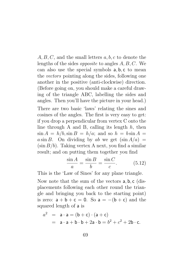$A, B, C$ , and the small letters  $a, b, c$  to denote the lengths of the sides opposite to angles A, B, C. We can also use the special symbols a, b, c to mean the vectors pointing along the sides, following one another in the positive (anti-clockwise) direction. (Before going on, you should make a careful drawing of the triangle ABC, labelling the sides and angles. Then you'll have the picture in your head.)

There are two basic 'laws' relating the sines and cosines of the angles. The first is very easy to get: if you drop a perpendicular from vertex C onto the line through A and B, calling its length  $h$ , then  $\sin A = h/b$ ,  $\sin B = h/a$ ; and so  $h = b \sin A =$ a sin B. On dividing by ab we get  $(\sin A/a)$  =  $(\sin B/b)$ . Taking vertex A next, you find a similar result; and on putting them together you find

$$
\frac{\sin A}{a} = \frac{\sin B}{b} = \frac{\sin C}{c}.
$$
 (5.12)

This is the 'Law of Sines' for any plane triangle.

Now note that the sum of the vectors a, b, c (displacements following each other round the triangle and bringing you back to the starting point) is zero:  $a + b + c = 0$ . So  $a = -(b + c)$  and the squared length of a is

$$
a2 = a \cdot a = (b + c) \cdot (a + c)
$$
  
= a \cdot a + b \cdot b + 2a \cdot b = b<sup>2</sup> + c<sup>2</sup> + 2b \cdot c.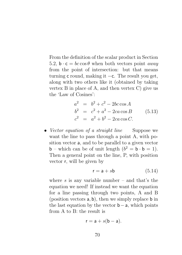From the definition of the scalar product in Section 5.2,  $\mathbf{b} \cdot \mathbf{c} = bc \cos \theta$  when both vectors point *away* from the point of intersection: but that means turning c round, making it −c. The result you get, along with two others like it (obtained by taking vertex B in place of A, and then vertex C) give us the 'Law of Cosines':

$$
a2 = b2 + c2 - 2bc \cos A b2 = c2 + a2 - 2ca \cos B c2 = a2 + b2 - 2ca \cos C.
$$
 (5.13)

• Vector equation of a straight line Suppose we want the line to pass through a point A, with position vector a, and to be parallel to a given vector **b** – which can be of unit length  $(b^2 = b \cdot b = 1)$ . Then a general point on the line, P, with position vector r, will be given by

$$
\mathsf{r} = \mathsf{a} + s\mathsf{b} \tag{5.14}
$$

where  $s$  is any variable number – and that's the equation we need! If instead we want the equation for a line passing through two points, A and B (position vectors a, b), then we simply replace b in the last equation by the vector  $\mathbf{b} - \mathbf{a}$ , which points from A to  $B$ : the result is

$$
r = a + s(b - a).
$$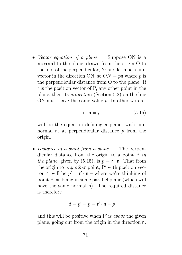• Vector equation of a plane Suppose ON is a normal to the plane, drawn from the origin O to the foot of the perpendicular, N; and let n be a unit vector in the direction ON, so  $\overrightarrow{ON} = p$  where p is the perpendicular distance from O to the plane. If r is the position vector of P, any other point in the plane, then its projection (Section 5.2) on the line ON must have the same value  $p$ . In other words,

$$
\mathbf{r} \cdot \mathbf{n} = p \tag{5.15}
$$

will be the equation defining a plane, with unit normal **n**, at perpendicular distance  $p$  from the origin.

• Distance of a point from a plane The perpendicular distance from the origin to a point  $P$  in the plane, given by (5.15), is  $p = r \cdot n$ . That from the origin to *any other* point,  $P'$  with position vector  $\mathsf{r}'$ , will be  $p' = \mathsf{r}' \cdot \mathsf{n}$  – where we're thinking of point  $P'$  as being in some parallel plane (which will have the same normal n). The required distance is therefore

$$
d = p' - p = \mathsf{r}' \cdot \mathsf{n} - p
$$

and this will be positive when  $P'$  is *above* the given plane, going out from the origin in the direction n.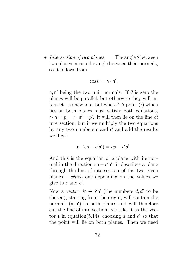• Intersection of two planes The angle  $\theta$  between two planes means the angle between their normals; so it follows from

$$
\cos \theta = \mathsf{n} \cdot \mathsf{n}',
$$

 $n, n'$  being the two unit normals. If  $\theta$  is zero the planes will be parallel; but otherwise they will intersect – somewhere, but where? A point (r) which lies on both planes must satisfy both equations,  $\mathbf{r} \cdot \mathbf{n} = p$ ,  $\mathbf{r} \cdot \mathbf{n}' = p'$ . It will then lie on the line of intersection; but if we multiply the two equations by any two numbers  $c$  and  $c'$  and add the results we'll get

$$
\mathsf{r} \cdot (c\mathsf{n} - c'\mathsf{n}') = cp - c'p'.
$$

And this is the equation of a plane with its normal in the direction  $cn - c'n'$ : it describes a plane through the line of intersection of the two given planes – which one depending on the values we give to  $c$  and  $c'$ .

Now a vector  $d\mathbf{n} + d'\mathbf{n}'$  (the numbers  $d, d'$  to be chosen), starting from the origin, will contain the normals  $(n, n')$  to both planes and will therefore cut the line of intersection: we take it as the vector a in equation(5.14), choosing d and d' so that the point will lie on both planes. Then we need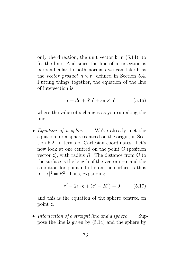only the direction, the unit vector  $\mathbf b$  in  $(5.14)$ , to fix the line. And since the line of intersection is perpendicular to both normals we can take b as the vector product  $\mathsf{n} \times \mathsf{n}'$  defined in Section 5.4. Putting things together, the equation of the line of intersection is

$$
\mathsf{r} = d\mathsf{n} + d'\mathsf{n}' + s\mathsf{n} \times \mathsf{n}',\tag{5.16}
$$

where the value of s changes as you run along the line.

• *Equation of a sphere* We've already met the equation for a sphere centred on the origin, in Section 5.2, in terms of Cartesian coordinates. Let's now look at one centred on the point C (position vector c), with radius  $R$ . The distance from C to the surface is the length of the vector r−c and the condition for point r to lie on the surface is thus  $|r - c|^2 = R^2$ . Thus, expanding,

$$
r^2 - 2\mathbf{r} \cdot \mathbf{c} + (c^2 - R^2) = 0 \tag{5.17}
$$

and this is the equation of the sphere centred on point c.

• Intersection of a straight line and a sphere Suppose the line is given by (5.14) and the sphere by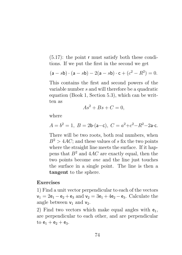$(5.17)$ : the point r must satisfy both these conditions. If we put the first in the second we get

$$
(a - sb) \cdot (a - sb) - 2(a - sb) \cdot c + (c^2 - R^2) = 0.
$$

This contains the first and second powers of the variable number s and will therefore be a quadratic equation (Book 1, Section 5.3), which can be written as

$$
As^2 + Bs + C = 0,
$$

where

$$
A = b^2 = 1, B = 2b \cdot (a - c), C = a^2 + c^2 - R^2 - 2a \cdot c.
$$

There will be two roots, both real numbers, when  $B^2 > 4AC$ ; and these values of s fix the two points where the straight line meets the surface. If it happens that  $B^2$  and  $4AC$  are exactly equal, then the two points become one and the line just touches the surface in a single point. The line is then a tangent to the sphere.

#### Exercises

1) Find a unit vector perpendicular to each of the vectors  $v_1 = 2e_1 - e_2 + e_3$  and  $v_2 = 3e_1 + 4e_2 - e_3$ . Calculate the angle between  $v_1$  and  $v_2$ .

2) Find two vectors which make equal angles with  $e_1$ , are perpendicular to each other, and are perpendicular to  $e_1 + e_2 + e_3$ .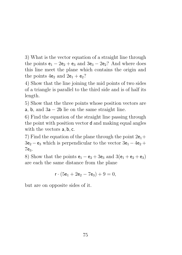3) What is the vector equation of a straight line through the points  $e_1 - 2e_2 + e_3$  and  $3e_3 - 2e_2$ ? And where does this line meet the plane which contains the origin and the points  $4e_2$  and  $2e_1 + e_2$ ?

4) Show that the line joining the mid points of two sides of a triangle is parallel to the third side and is of half its length.

5) Show that the three points whose position vectors are a, b, and  $3a - 2b$  lie on the same straight line.

6) Find the equation of the straight line passing through the point with position vector d and making equal angles with the vectors  $a, b, c$ .

7) Find the equation of the plane through the point  $2e_1+$  $3e_2 - e_3$  which is perpendicular to the vector  $3e_1 - 4e_2 +$ 7e3.

8) Show that the points  $e_1 - e_2 + 3e_3$  and  $3(e_1 + e_2 + e_3)$ are each the same distance from the plane

$$
\mathsf{r}\cdot(5\mathsf{e}_1+2\mathsf{e}_2-7\mathsf{e}_3)+9=0,
$$

but are on opposite sides of it.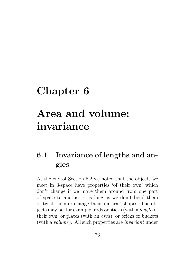## Chapter 6 Area and volume: invariance

## 6.1 Invariance of lengths and angles

At the end of Section 5.2 we noted that the objects we meet in 3-space have properties 'of their own' which don't change if we move them around from one part of space to another – as long as we don't bend them or twist them or change their 'natural' shapes. The objects may be, for example, rods or sticks (with a length of their own; or plates (with an area); or bricks or buckets (with a volume). All such properties are invariant under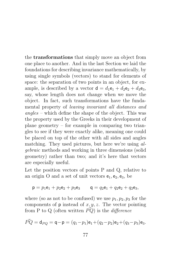the transformations that simply move an object from one place to another. And in the last Section we laid the foundations for describing invariance mathematically, by using single symbols (vectors) to stand for elements of space: the separation of two points in an object, for example, is described by a vector  $d = d_1 e_1 + d_2 e_2 + d_3 e_3$ , say, whose length does not change when we move the object. In fact, such transformations have the fundamental property of leaving invariant all distances and angles – which define the shape of the object. This was the property used by the Greeks in their development of plane geometry – for example in comparing two triangles to see if they were exactly alike, meaning one could be placed on top of the other with all sides and angles matching. They used pictures, but here we're using algebraic methods and working in three dimensions (solid geometry) rather than two; and it's here that vectors are especially useful.

Let the position vectors of points P and Q, relative to an origin O and a set of unit vectors  $e_1, e_2, e_3$ , be

$$
\mathsf{p} = p_1 \mathsf{e}_1 + p_2 \mathsf{e}_2 + p_3 \mathsf{e}_3 \qquad \mathsf{q} = q_2 \mathsf{e}_1 + q_2 \mathsf{e}_2 + q_2 \mathsf{e}_3,
$$

where (so as not to be confused) we use  $p_1, p_2, p_3$  for the components of  $p$  instead of  $x, y, z$ . The vector pointing from P to Q (often written  $\hat{PQ}$ ) is the *difference* 

$$
\vec{PQ} = \mathsf{d}_{PQ} = \mathsf{q} - \mathsf{p} = (q_1 - p_1)\mathsf{e}_1 + (q_2 - p_2)\mathsf{e}_2 + (q_3 - p_3)\mathsf{e}_3.
$$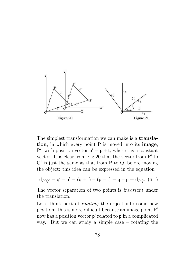

The simplest transformation we can make is a translation, in which every point P is moved into its image, P', with position vector  $p' = p + t$ , where t is a constant vector. It is clear from Fig. 20 that the vector from  $P'$  to  $Q'$  is just the same as that from P to  $Q$ , before moving the object: this idea can be expressed in the equation

$$
d_{P'Q'} = \mathsf{q}'-\mathsf{p}' = (\mathsf{q}+\mathsf{t})-(\mathsf{p}+\mathsf{t}) = \mathsf{q}-\mathsf{p} = d_{PQ}.~~(6.1)
$$

The vector separation of two points is invariant under the translation.

Let's think next of *rotating* the object into some new position: this is more difficult because an image point  $P'$ now has a position vector  $p'$  related to  $p$  in a complicated way. But we can study a simple case – rotating the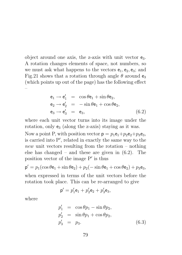object around one axis, the z-axis with unit vector  $e_3$ . A rotation changes elements of space, not numbers, so we must ask what happens to the vectors  $e_1, e_2, e_3$ ; and Fig.21 shows that a rotation through angle  $\theta$  around  $e_3$ (which points up out of the page) has the following effect –

$$
\begin{aligned}\n\mathbf{e}_1 &\rightarrow \mathbf{e}'_1 &= \cos\theta \mathbf{e}_1 + \sin\theta \mathbf{e}_2, \\
\mathbf{e}_2 &\rightarrow \mathbf{e}'_2 &= -\sin\theta \mathbf{e}_1 + \cos\theta \mathbf{e}_2, \\
\mathbf{e}_3 &\rightarrow \mathbf{e}'_3 &= \mathbf{e}_3,\n\end{aligned}\n\tag{6.2}
$$

where each unit vector turns into its image under the rotation, only  $e_3$  (along the z-axis) staying as it was.

Now a point P, with position vector  $p = p_1 e_1 + p_2 e_2 + p_3 e_3$ . is carried into  $P'$ , related in exactly the same way to the new unit vectors resulting from the rotation – nothing else has changed – and these are given in  $(6.2)$ . The position vector of the image  $P'$  is thus

$$
\mathbf{p}' = p_1(\cos\theta\mathbf{e}_1 + \sin\theta\mathbf{e}_2) + p_2(-\sin\theta\mathbf{e}_1 + \cos\theta\mathbf{e}_2) + p_3\mathbf{e}_3,
$$

when expressed in terms of the unit vectors before the rotation took place. This can be re-arranged to give

$$
\mathbf{p}'=p'_1\mathbf{e}_1+p'_2\mathbf{e}_2+p'_3\mathbf{e}_3,
$$

where

$$
p'_1 = \cos \theta p_1 - \sin \theta p_2,
$$
  
\n
$$
p'_2 = \sin \theta p_1 + \cos \theta p_2,
$$
  
\n
$$
p'_3 = p_3.
$$
\n(6.3)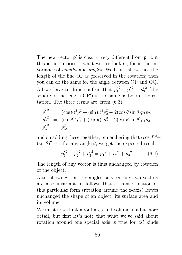The new vector  $p'$  is clearly very different from  $p$ : but this is no surprise – what we are looking for is the invariance of lengths and angles. We'll just show that the length of the line OP is preserved in the rotation; then you can do the same for the angle between OP and OQ. All we have to do is confirm that  $p_1'^2 + p_2'^2 + p_3'$  $2$  (the square of the length  $OP'$  is the same as before the rotation. The three terms are, from (6.3),

$$
p_1^{\prime 2} = (\cos \theta)^2 p_1^2 + (\sin \theta)^2 p_2^2 - 2(\cos \theta \sin \theta) p_1 p_2,
$$
  
\n
$$
p_2^{\prime 2} = (\sin \theta)^2 p_1^2 + (\cos \theta)^2 p_2^2 + 2(\cos \theta \sin \theta) p_1 p_2,
$$
  
\n
$$
p_3^{\prime 2} = p_3^2,
$$

and on adding these together, remembering that  $(\cos \theta)^2 +$  $(\sin \theta)^2 = 1$  for any angle  $\theta$ , we get the expected result

$$
{p'_1}^2 + {p'_2}^2 + {p'_3}^2 = {p_1}^2 + {p_2}^2 + {p_3}^2. \tag{6.4}
$$

The length of any vector is thus unchanged by rotation of the object.

After showing that the angles between any two vectors are also invariant, it follows that a transformation of this particular form (rotation around the z-axis) leaves unchanged the shape of an object, its surface area and its volume.

We must now think about area and volume in a bit more detail, but first let's note that what we've said about rotation around one special axis is true for all kinds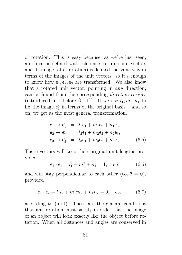of rotation. This is easy because, as we've just seen, an object is defined with reference to three unit vectors and its image (after rotation) is defined the same way in terms of the images of the unit vectors: so it's enough to know how  $e_1, e_2, e_3$  are transformed. We also know that a rotated unit vector, pointing in any direction, can be found from the corresponding direction cosines (introduced just before  $(5.11)$ ). If we use  $l_1, m_1, n_1$  to fix the image  $e'_1$  in terms of the original basis – and so on, we get as the most general transformation,

$$
e_1 \rightarrow e'_1 = l_1 e_1 + m_1 e_2 + n_1 e_3,
$$
  
\n
$$
e_2 \rightarrow e'_2 = l_2 e_1 + m_2 e_2 + n_2 e_3,
$$
  
\n
$$
e_3 \rightarrow e'_3 = l_3 e_1 + m_3 e_2 + n_3 e_3.
$$
 (6.5)

These vectors will keep their original unit lengths provided

$$
\mathbf{e}_1 \cdot \mathbf{e}_1 = l_1^2 + m_1^2 + n_1^2 = 1, \quad \text{etc.} \tag{6.6}
$$

and will stay perpendicular to each other  $(\cos \theta = 0)$ , provided

$$
e_1 \cdot e_2 = l_1 l_2 + m_1 m_2 + n_1 n_2 = 0, \text{ etc.} \tag{6.7}
$$

according to (5.11). These are the general conditions that any rotation must satisfy in order that the image of an object will look exactly like the object before rotation. When all distances and angles are conserved in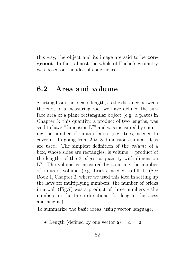this way, the object and its image are said to be congruent. In fact, almost the whole of Euclid's geometry was based on the idea of congruence.

#### 6.2 Area and volume

Starting from the idea of length, as the distance between the ends of a measuring rod, we have defined the surface area of a plane rectangular object (e.g. a plate) in Chapter 3: this quantity, a product of two lengths, was said to have "dimension  $L^{2n}$  and was measured by counting the number of 'units of area' (e.g. tiles) needed to cover it. In going from 2 to 3 dimensions similar ideas are used. The simplest definition of the volume of a box, whose sides are rectangles, is volume  $=$  product of the lengths of the 3 edges, a quantity with dimension L 3 . The volume is measured by counting the number of 'units of volume' (e.g. bricks) needed to fill it. (See Book 1, Chapter 2, where we used this idea in setting up the laws for multiplying numbers: the number of bricks in a wall (Fig.7) was a product of three numbers – the numbers in the three directions, for length, thickness and height.)

To summarize the basic ideas, using vector language,

• Length (defined by one vector  $a$ ) =  $a = |a|$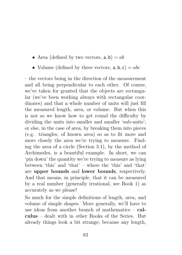- Area (defined by two vectors,  $a, b$ ) = ab
- Volume (defined by three vectors,  $a, b, c$ ) = abc

– the vectors being in the direction of the measurement and all being perpendicular to each other. Of course, we've taken for granted that the objects are rectangular (we've been working always with rectangular coordinates) and that a whole number of units will just fill the measured length, area, or volume. But when this is not so we know how to get round the difficulty by dividing the units into smaller and smaller 'sub-units'; or else, in the case of area, by breaking them into pieces (e.g. triangles, of known area) so as to fit more and more closely the area we're trying to measure. Finding the area of a circle (Section 3.1), by the method of Archimedes, is a beautiful example. In short, we can 'pin down' the quantity we're trying to measure as lying between 'this' and 'that' – where the 'this' and 'that' are upper bounds and lower bounds, respectively. And that means, in principle, that it can be measured by a real number (generally irrational, see Book 1) as accurately as we please!

So much for the simple definitions of length, area, and volume of simple shapes. More generally, we'll have to use ideas from another branch of mathematics  $-$  calculus – dealt with in other Books of the Series. But already things look a bit strange; because any length,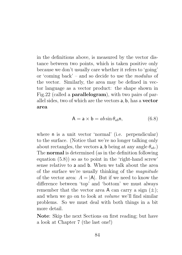in the definitions above, is measured by the vector distance between two points, which is taken positive only because we don't usually care whether it refers to 'going' or 'coming back' – and so decide to use the modulus of the vector. Similarly, the area may be defined in vector language as a vector product: the shape shown in Fig.22 (called a parallelogram), with two pairs of parallel sides, two of which are the vectors a, b, has a vector area

$$
A = a \times b = ab \sin \theta_{ab} n, \qquad (6.8)
$$

where n is a unit vector 'normal' (i.e. perpendicular) to the surface. (Notice that we're no longer talking only about rectangles, the vectors **a**, **b** being at any angle  $\theta_{ab}$ .) The normal is determined (as in the definition following equation  $(5.8)$  so as to point in the 'right-hand screw' sense relative to a and b. When we talk about the area of the surface we're usually thinking of the magnitude of the vector area:  $A = |A|$ . But if we need to know the difference between 'top' and 'bottom' we must always remember that the vector area A can carry a sign  $(\pm)$ ; and when we go on to look at volume we'll find similar problems. So we must deal with both things in a bit more detail.

Note: Skip the next Sections on first reading; but have a look at Chapter 7 (the last one!)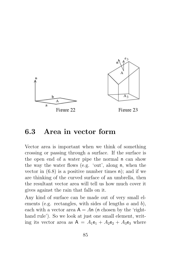

#### 6.3 Area in vector form

Vector area is important when we think of something crossing or passing through a surface. If the surface is the open end of a water pipe the normal n can show the way the water flows (e.g. 'out', along n, when the vector in  $(6.8)$  is a positive number times n); and if we are thinking of the curved surface of an umbrella, then the resultant vector area will tell us how much cover it gives against the rain that falls on it.

Any kind of surface can be made out of very small elements (e.g. rectangles, with sides of lengths  $a$  and  $b$ ), each with a vector area  $A = An$  (n chosen by the 'righthand rule'). So we look at just one small element, writing its vector area as  $A = A_1e_1 + A_2e_2 + A_3e_3$  where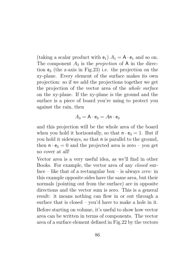(taking a scalar product with  $e_1$ )  $A_1 = A \cdot e_1$  and so on. The component  $A_3$  is the *projection* of A in the direction  $e_3$  (the z-axis in Fig. 23) i.e. the projection on the xy-plane. Every element of the surface makes its own projection: so if we add the projections together we get the projection of the vector area of the whole surface on the xy-plane. If the xy-plane is the ground and the surface is a piece of board you're using to protect you against the rain, then

$$
A_3 = \mathsf{A} \cdot \mathsf{e}_3 = A \mathsf{n} \cdot \mathsf{e}_3
$$

and this projection will be the whole area of the board when you hold it horizontally, so that  $\mathbf{n} \cdot \mathbf{e}_3 = 1$ . But if you hold it sideways, so that n is parallel to the ground, then  $\mathbf{n} \cdot \mathbf{e}_3 = 0$  and the projected area is zero – you get no cover at all!

Vector area is a very useful idea, as we'll find in other Books. For example, the vector area of any closed surface – like that of a rectangular box – is always *zero*: in this example opposite sides have the same area, but their normals (pointing out from the surface) are in opposite directions and the vector sum is zero. This is a general result: it means nothing can flow in or out through a surface that is closed – you'd have to make a hole in it. Before starting on volume, it's useful to show how vector area can be written in terms of components. The vector area of a surface element defined in Fig.22 by the vectors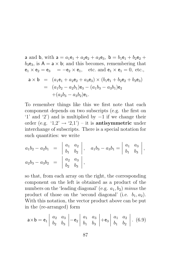a and b, with  $a = a_1e_1 + a_2e_2 + a_3e_3$ ,  $b = b_1e_1 + b_2e_2 +$  $b_3e_3$ , is  $A = a \times b$ ; and this becomes, remembering that  $e_1 \times e_2 = e_3 = -e_2 \times e_1$ , etc. and  $e_1 \times e_1 = 0$ , etc.,

$$
\mathbf{a} \times \mathbf{b} = (a_1\mathbf{e}_1 + a_2\mathbf{e}_2 + a_3\mathbf{e}_3) \times (b_1\mathbf{e}_1 + b_2\mathbf{e}_2 + b_3\mathbf{e}_3)
$$
  
=  $(a_1b_2 - a_2b_1)\mathbf{e}_3 - (a_1b_3 - a_3b_1)\mathbf{e}_2$   
+ $(a_2b_3 - a_3b_2)\mathbf{e}_1$ .

To remember things like this we first note that each component depends on two subscripts (e.g. the first on '1' and '2') and is multiplied by −1 if we change their order (e.g. '1,2'  $\rightarrow$  '2,1') – it is antisymmetric under interchange of subscripts. There is a special notation for such quantities: we write

$$
a_1b_2 - a_2b_1 = \begin{vmatrix} a_1 & a_2 \\ b_1 & b_2 \end{vmatrix}, \quad a_1b_3 - a_3b_1 = \begin{vmatrix} a_1 & a_3 \\ b_1 & b_3 \end{vmatrix},
$$
  
\n
$$
a_2b_3 - a_3b_2 = \begin{vmatrix} a_2 & a_3 \\ b_2 & b_3 \end{vmatrix},
$$

so that, from each array on the right, the corresponding component on the left is obtained as a product of the numbers on the 'leading diagonal' (e.g.  $a_1, b_2$ ) minus the product of those on the 'second diagonal' (i.e.  $b_1, a_2$ ). With this notation, the vector product above can be put in the (re-arranged) form

$$
\mathsf{a} \times \mathsf{b} = \mathsf{e}_1 \left| \begin{array}{cc} a_2 & a_3 \\ b_2 & b_3 \end{array} \right| - \mathsf{e}_2 \left| \begin{array}{cc} a_1 & a_3 \\ b_1 & b_3 \end{array} \right| + \mathsf{e}_3 \left| \begin{array}{cc} a_1 & a_2 \\ b_1 & b_2 \end{array} \right| . \tag{6.9}
$$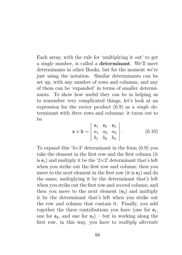Each array, with the rule for 'multiplying it out' to get a single number, is called a determinant. We'll meet determinants in other Books, but for the moment we're just using the notation. Similar determinants can be set up, with any number of rows and columns, and any of them can be 'expanded' in terms of smaller determinants. To show how useful they can be in helping us to remember very complicated things, let's look at an expression for the vector product (6.9) as a single determinant with three rows and columns: it turns out to  $he$ 

$$
\mathbf{a} \times \mathbf{b} = \begin{vmatrix} \mathbf{e}_1 & \mathbf{e}_2 & \mathbf{e}_3 \\ a_1 & a_2 & a_3 \\ b_1 & b_2 & b_3 \end{vmatrix} . \tag{6.10}
$$

To expand this ' $3\times3$ ' determinant in the form (6.9) you take the element in the first row and the first column (it is  $e_1$ ) and multiply it be the '2×2' determinant that's left when you strike out the first row and column; then you move to the next element in the first row (it is  $e_2$ ) and do the same, multiplying it by the determinant that's left when you strike out the first row and *second* column; and then you move to the next element  $(e_3)$  and multiply it by the determinant that's left when you strike out the row and column that contain it. Finally, you add together the three contributions you have (one for  $e_1$ , one for  $e_2$ , and one for  $e_3$ ) – but in working along the first row, in this way, you have to multiply alternate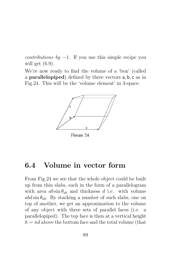*contributions by*  $-1$ . If you use this simple recipe you will get (6.9).

We're now ready to find the volume of a 'box' (called a parallelopiped) defined by three vectors a, b, c as in Fig.24. This will be the 'volume element' in 3-space.



Figure 24

### 6.4 Volume in vector form

From Fig.24 we see that the whole object could be built up from thin slabs, each in the form of a parallelogram with area  $ab \sin \theta_{ab}$  and thickness d i.e. with volume  $abd\sin\theta_{ab}$ . By stacking a number of such slabs, one on top of another, we get an approximation to the volume of any object with three sets of parallel faces (i.e. a parallelopiped). The top face is then at a vertical height  $h = nd$  above the bottom face and the total volume (that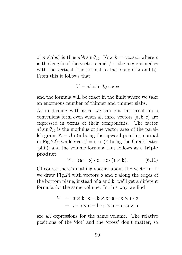of n slabs) is thus  $abh \sin \theta_{ab}$ . Now  $h = c \cos \phi$ , where c is the length of the vector c and  $\phi$  is the angle it makes with the vertical (the normal to the plane of **a** and **b**). From this it follows that

$$
V = abc \sin \theta_{ab} \cos \phi
$$

and the formula will be exact in the limit where we take an enormous number of thinner and thinner slabs.

As in dealing with area, we can put this result in a convenient form even when all three vectors (a, b, c) are expressed in terms of their components. The factor  $ab \sin \theta_{ab}$  is the modulus of the vector area of the parallelogram,  $A = An$  (n being the upward-pointing normal in Fig.22), while  $c \cos \phi = \mathbf{n} \cdot \mathbf{c}$  ( $\phi$  being the Greek letter 'phi'); and the volume formula thus follows as a triple product

$$
V = (\mathsf{a} \times \mathsf{b}) \cdot \mathsf{c} = \mathsf{c} \cdot (\mathsf{a} \times \mathsf{b}).\tag{6.11}
$$

Of course there's nothing special about the vector c: if we draw Fig.24 with vectors b and c along the edges of the bottom plane, instead of a and b, we'll get a different formula for the same volume. In this way we find

$$
V = a \times b \cdot c = b \times c \cdot a = c \times a \cdot b
$$
  
=  $a \cdot b \times c = b \cdot c \times a = c \cdot a \times b$ 

are all expressions for the same volume. The relative positions of the 'dot' and the 'cross' don't matter, so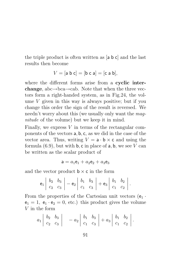the triple product is often written as [a b c] and the last results then become

$$
V = [a \ b \ c] = [b \ c \ a] = [c \ a \ b],
$$

where the different forms arise from a cyclic interchange, abc $\rightarrow$ bca $\rightarrow$ cab. Note that when the three vectors form a right-handed system, as in Fig.24, the volume  $V$  given in this way is always positive; but if you change this order the sign of the result is reversed. We needn't worry about this (we usually only want the magnitude of the volume) but we keep it in mind.

Finally, we express  $V$  in terms of the rectangular components of the vectors a, b, c, as we did in the case of the vector area. Thus, writing  $V = a \cdot b \times c$  and using the formula  $(6.9)$ , but with **b**, c in place of **a**, **b**, we see V can be written as the scalar product of

$$
\mathsf a = a_1 \mathsf e_1 + a_2 \mathsf e_2 + a_3 \mathsf e_3
$$

and the vector product  $\mathbf{b} \times \mathbf{c}$  in the form

$$
e_1\begin{vmatrix} b_2 & b_3 \ c_2 & c_3 \end{vmatrix} - e_2\begin{vmatrix} b_1 & b_3 \ c_1 & c_3 \end{vmatrix} + e_3\begin{vmatrix} b_1 & b_2 \ c_1 & c_2 \end{vmatrix}.
$$

From the properties of the Cartesian unit vectors  $(e_1 \cdot$  $e_1 = 1$ ,  $e_1 \cdot e_2 = 0$ , etc.) this product gives the volume V in the form

$$
a_1 \begin{vmatrix} b_2 & b_3 \\ c_2 & c_3 \end{vmatrix} - a_2 \begin{vmatrix} b_1 & b_3 \\ c_1 & c_3 \end{vmatrix} + a_3 \begin{vmatrix} b_1 & b_2 \\ c_1 & c_2 \end{vmatrix}.
$$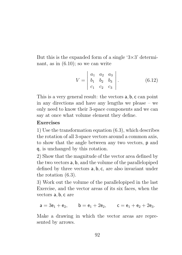But this is the expanded form of a single ' $3\times3$ ' determinant, as in (6.10); so we can write

$$
V = \begin{vmatrix} a_1 & a_2 & a_3 \\ b_1 & b_2 & b_3 \\ c_1 & c_2 & c_3 \end{vmatrix}.
$$
 (6.12)

This is a very general result: the vectors a, b, c can point in any directions and have any lengths we please – we only need to know their 3-space components and we can say at once what volume element they define.

#### Exercises

1) Use the transformation equation (6.3), which describes the rotation of all 3-space vectors around a common axis, to show that the angle between any two vectors, p and q, is unchanged by this rotation.

2) Show that the magnitude of the vector area defined by the two vectors a, b, and the volume of the parallelopiped defined by three vectors a, b, c, are also invariant under the rotation (6.3).

3) Work out the volume of the parallelopiped in the last Exercise, and the vector areas of its six faces, when the vectors a, b, c are

$$
{\sf a}=3{\sf e}_1+{\sf e}_2,\qquad {\sf b}={\sf e}_1+2{\sf e}_2,\qquad {\sf c}={\sf e}_1+{\sf e}_2+2{\sf e}_3.
$$

Make a drawing in which the vector areas are represented by arrows.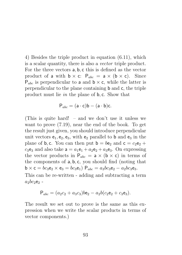4) Besides the triple product in equation (6.11), which is a scalar quantity, there is also a vector triple product. For the three vectors a, b, c this is defined as the vector product of a with  $\mathbf{b} \times \mathbf{c}$ :  $\mathsf{P}_{abc} = \mathbf{a} \times (\mathbf{b} \times \mathbf{c})$ . Since  $P_{abc}$  is perpendicular to a and  $b \times c$ , while the latter is perpendicular to the plane containing b and c, the triple product must lie in the plane of b, c. Show that

$$
P_{abc} = (a \cdot c)b - (a \cdot b)c.
$$

(This is quite hard! – and we don't use it unless we want to prove (7.19), near the end of the book. To get the result just given, you should introduce perpendicular unit vectors  $e_1, e_2, e_3$ , with  $e_2$  parallel to b and  $e_3$  in the plane of b, c. You can then put  $b = be_2$  and  $c = c_2e_2 +$  $c_3$ e<sub>3</sub> and also take  $a = a_1e_1 + a_2e_2 + a_3e_3$ . On expressing the vector products in  $P_{abc} = a \times (b \times c)$  in terms of the components of a, b, c, you should find (noting that  $b \times c = bc_3e_2 \times e_3 = bc_3e_1$   $P_{abc} = a_3bc_3e_2 - a_2bc_3e_3$ .

This can be re-written - adding and subtracting a term  $a_2bc_2e_2$  -

$$
P_{abc} = (a_2c_2 + a_3c_3)be_2 - a_2b(c_2e_2 + c_3e_3).
$$

The result we set out to prove is the same as this expression when we write the scalar products in terms of vector components.)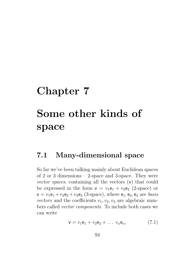# Chapter 7 Some other kinds of space

#### 7.1 Many-dimensional space

So far we've been talking mainly about Euclidean spaces of 2 or 3 dimensions – 2-space and 3-space. They were vector spaces, containing all the vectors (v) that could be expressed in the form  $v = v_1e_1 + v_2e_2$  (2-space) or  $v = v_1e_1 + v_2e_2 + v_3e_3$  (3-space), where  $e_1, e_2, e_3$  are *basis* vectors and the coefficients  $v_1, v_2, v_3$  are algebraic numbers called vector components. To include both cases we can write

$$
v = v_1 e_1 + v_2 e_2 + \dots v_n e_n, \tag{7.1}
$$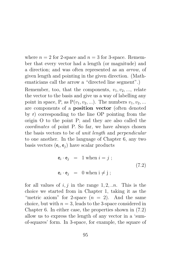where  $n = 2$  for 2-space and  $n = 3$  for 3-space. Remember that every vector had a length (or magnitude) and a direction; and was often represented as an arrow, of given length and pointing in the given direction. (Mathematicians call the arrow a "directed line segment".)

Remember, too, that the components,  $v_1, v_2, \ldots$ , relate the vector to the basis and give us a way of labelling any point in space, P, as  $P(v_1, v_2, \ldots)$ . The numbers  $v_1, v_2, \ldots$ are components of a position vector (often denoted by r) corresponding to the line OP pointing from the origin O to the point P; and they are also called the coordinates of point P. So far, we have always chosen the basis vectors to be of unit length and perpendicular to one another. In the language of Chapter 6, any two basis vectors  $(e_i, e_j)$  have scalar products

$$
\begin{aligned}\n\mathbf{e}_i \cdot \mathbf{e}_j &= 1 \text{ when } i = j ; \\
\mathbf{e}_i \cdot \mathbf{e}_j &= 0 \text{ when } i \neq j ;\n\end{aligned} \tag{7.2}
$$

for all values of i, j in the range  $1, 2, \ldots n$ . This is the choice we started from in Chapter 1, taking it as the "metric axiom" for 2-space  $(n = 2)$ . And the same choice, but with  $n = 3$ , leads to the 3-space considered in Chapter 6. In either case, the properties shown in (7.2) allow us to express the length of any vector in a 'sumof-squares' form. In 3-space, for example, the square of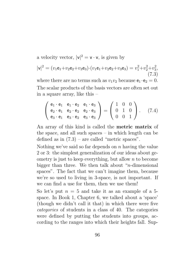a velocity vector,  $|v|^2 = v \cdot v$ , is given by

$$
|\mathbf{v}|^2 = (v_1 \mathbf{e}_1 + v_2 \mathbf{e}_2 + v_3 \mathbf{e}_3) \cdot (v_1 \mathbf{e}_1 + v_2 \mathbf{e}_2 + v_3 \mathbf{e}_3) = v_1^2 + v_2^2 + v_3^2,
$$
\n(7.3)

where there are no terms such as  $v_1v_2$  because  $e_1 \cdot e_2 = 0$ . The scalar products of the basis vectors are often set out in a square array, like this –

$$
\begin{pmatrix} e_1 \cdot e_1 & e_1 \cdot e_2 & e_1 \cdot e_3 \\ e_2 \cdot e_1 & e_2 \cdot e_2 & e_2 \cdot e_3 \\ e_3 \cdot e_1 & e_3 \cdot e_2 & e_3 \cdot e_3 \end{pmatrix} = \begin{pmatrix} 1 & 0 & 0 \\ 0 & 1 & 0 \\ 0 & 0 & 1 \end{pmatrix}.
$$
 (7.4)

An array of this kind is called the metric matrix of the space, and all such spaces – in which length can be defined as in  $(7.3)$  – are called "metric spaces".

Nothing we've said so far depends on  $n$  having the value 2 or 3: the simplest generalization of our ideas about geometry is just to keep everything, but allow  $n$  to become bigger than three. We then talk about "n-dimensional spaces". The fact that we can't imagine them, because we're so used to living in 3-space, is not important. If we can find a use for them, then we use them!

So let's put  $n = 5$  and take it as an example of a 5space. In Book 1, Chapter 6, we talked about a 'space' (though we didn't call it that) in which there were five categories of students in a class of 40. The categories were defined by putting the students into groups, according to the ranges into which their heights fall. Sup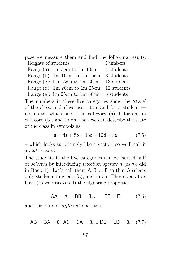pose we measure them and find the following results: Heights of students Numbers

| Range (a): 1m $5cm$ to 1m 10cm                   | 4 students  |
|--------------------------------------------------|-------------|
| Range (b): 1m 10cm to 1m 15cm                    | 8 students  |
| Range (c): 1m 15cm to 1m 20cm   13 students      |             |
| Range (d): 1m 20cm to 1m 25cm                    | 12 students |
| Range (e): 1m 25cm to 1m 30cm $\vert$ 3 students |             |

The numbers in these five categories show the 'state' of the class; and if we use a to stand for a student no matter which one — in category  $(a)$ , b for one in category (b), and so on, then we can describe the state of the class in symbols as

$$
s = 4a + 8b + 13c + 12d + 3e \tag{7.5}
$$

– which looks surprisingly like a vector! so we'll call it a state vector.

The students in the five categories can be 'sorted out' or selected by introducing selection operators (as we did in Book 1). Let's call them A, B, ... E so that A selects only students in group (a), and so on. These operators have (as we discovered) the algebraic properties

$$
AA = A
$$
,  $BB = B$ , ...  $EE = E$  (7.6)

and, for pairs of different operators,

$$
AB = BA = 0, AC = CA = 0, ... DE = ED = 0. (7.7)
$$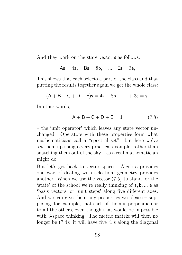And they work on the state vector s as follows:

$$
As = 4a
$$
,  $Bs = 8b$ , ...  $Es = 3e$ ,

This shows that each selects a part of the class and that putting the results together again we get the whole class:

$$
(A + B + C + D + E)s = 4a + 8b + \dots + 3e = s.
$$

In other words,

$$
A + B + C + D + E = 1 \tag{7.8}
$$

– the 'unit operator' which leaves any state vector unchanged. Operators with these properties form what mathematicians call a "spectral set": but here we've set them up using a very practical example, rather than snatching them out of the  $sky - as$  a real mathematician might do.

But let's get back to vector spaces. Algebra provides one way of dealing with selection, geometry provides another. When we use the vector (7.5) to stand for the 'state' of the school we're really thinking of a, b, ... e as 'basis vectors' or 'unit steps' along five different axes. And we can give them any properties we please – supposing, for example, that each of them is perpendicular to all the others, even though that would be impossible with 3-space thinking. The metric matrix will then no longer be (7.4): it will have five '1's along the diagonal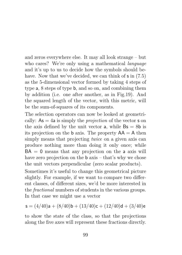and zeros everywhere else. It may all look strange – but who cares? We're only using a mathematical *language* and it's up to us to decide how the symbols should behave. Now that we've decided, we can think of **s** in  $(7.5)$ as the 5-dimensional vector formed by taking 4 steps of type a, 8 steps of type b, and so on, and combining them by addition (i.e. one after another, as in Fig.19). And the squared length of the vector, with this metric, will be the sum-of-squares of its components.

The selection operators can now be looked at geometrically:  $As = 4a$  is simply the *projection* of the vector **s** on the axis defined by the unit vector **a**, while  $\mathsf{Bs} = 8\mathsf{b}$  is its projection on the **b** axis. The property  $AA = A$  then simply means that projecting twice on a given axis can produce nothing more than doing it only once; while  $BA = 0$  means that any projection on the a axis will have zero projection on the **b** axis – that's why we chose the unit vectors perpendicular (zero scalar products).

Sometimes it's useful to change this geometrical picture slightly. For example, if we want to compare two different classes, of different sizes, we'd be more interested in the fractional numbers of students in the various groups. In that case we might use a vector

$$
\mathsf{s} = (4/40)\mathsf{a} + (8/40)\mathsf{b} + (13/40)\mathsf{c} + (12/40)\mathsf{d} + (3/40)\mathsf{e}
$$

to show the state of the class, so that the projections along the five axes will represent these fractions directly.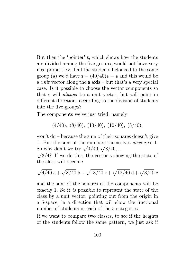But then the 'pointer' s, which shows how the students are divided among the five groups, would not have very nice properties: if all the students belonged to the same group (a) we'd have  $s = (40/40)a = a$  and this would be a unit vector along the a axis – but that's a very special case. Is it possible to choose the vector components so that s will always be a unit vector, but will point in different directions according to the division of students into the five groups?

The components we've just tried, namely

$$
(4/40), (8/40), (13/40), (12/40), (3/40),
$$

won't do – because the sum of their squares doesn't give 1. But the sum of the numbers themselves does give 1. So why don't we try  $\sqrt{4/40}, \sqrt{8/40}, ...$ 

 $\sqrt{3/4}$ ? If we do this, the vector **s** showing the state of the class will become

$$
\sqrt{4/40} \; {\sf a} + \sqrt{8/40} \; {\sf b} + \sqrt{13/40} \; {\sf c} + \sqrt{12/40} \; {\sf d} + \sqrt{3/40} \; {\sf e}
$$

and the sum of the squares of the components will be exactly 1. So it is possible to represent the state of the class by a unit vector, pointing out from the origin in a 5-space, in a direction that will show the fractional number of students in each of the 5 categories.

If we want to compare two classes, to see if the heights of the students follow the same pattern, we just ask if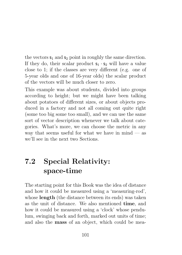the vectors  $s_1$  and  $s_2$  point in roughly the same direction. If they do, their scalar product  $s_1 \cdot s_2$  will have a value close to 1; if the classes are very different (e.g. one of 5-year olds and one of 16-year olds) the scalar product of the vectors will be much closer to zero.

This example was about students, divided into groups according to height; but we might have been talking about potatoes of different sizes, or about objects produced in a factory and not all coming out quite right (some too big some too small), and we can use the same sort of vector description whenever we talk about categories. What's more, we can choose the metric in any way that seems useful for what we have in mind  $-$  as we'll see in the next two Sections.

## 7.2 Special Relativity: space-time

The starting point for this Book was the idea of distance and how it could be measured using a 'measuring-rod', whose length (the distance between its ends) was taken as the unit of distance. We also mentioned time, and how it could be measured using a 'clock' whose pendulum, swinging back and forth, marked out units of time; and also the mass of an object, which could be mea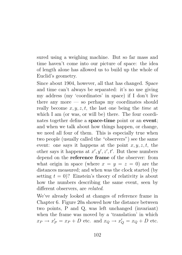sured using a weighing machine. But so far mass and time haven't come into our picture of space: the idea of length alone has allowed us to build up the whole of Euclid's geometry.

Since about 1904, however, all that has changed. Space and time can't always be separated: it's no use giving my address (my 'coordinates' in space) if I don't live there any more — so perhaps my coordinates should really become  $x, y, z, t$ , the last one being the *time* at which I am (or was, or will be) there. The four coordinates together define a space-time point or an event; and when we talk about how things happen, or change, we need all four of them. This is especially true when two people (usually called the "observers") see the same event: one says it happens at the point  $x, y, z, t$ , the other says it happens at  $x', y', z', t'$ . But these numbers depend on the reference frame of the observer: from what origin in space (where  $x = y = z = 0$ ) are the distances measured; and when was the clock started (by setting  $t = 0$ ? Einstein's theory of relativity is about how the numbers describing the same event, seen by different observers, are *related*.

We've already looked at changes of reference frame in Chapter 6. Figure 20a showed how the distance between two points, P and Q, was left unchanged (invariant) when the frame was moved by a 'translation' in which  $x_P \rightarrow x'_P = x_P + D$  etc. and  $x_Q \rightarrow x'_Q = x_Q + D$  etc.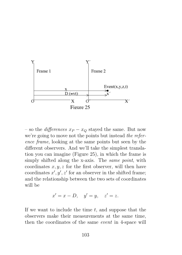

– so the *differences*  $x_P - x_Q$  stayed the same. But now we're going to move not the points but instead the reference frame, looking at the same points but seen by the different observers. And we'll take the simplest translation you can imagine (Figure 25), in which the frame is simply shifted along the x-axis. The *same point*, with coordinates  $x, y, z$  for the first observer, will then have coordinates  $x', y', z'$  for an observer in the shifted frame; and the relationship between the two sets of coordinates will be

$$
x' = x - D, \quad y' = y, \quad z' = z.
$$

If we want to include the time  $t$ , and suppose that the observers make their measurements at the same time, then the coordinates of the same event in 4-space will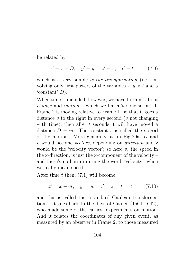be related by

$$
x' = x - D
$$
,  $y' = y$ ,  $z' = z$ ,  $t' = t$ , (7.9)

which is a very simple *linear transformation* (i.e. involving only first powers of the variables  $x, y, z, t$  and a 'constant' D).

When time is included, however, we have to think about *change* and *motion* – which we haven't done so far. If Frame 2 is moving relative to Frame 1, so that it goes a distance  $v$  to the right in every second ( $v$  not changing with time), then after  $t$  seconds it will have moved a distance  $D = vt$ . The constant v is called the **speed** of the motion. More generally, as in Fig.20a, D and v would become vectors, depending on direction and v would be the 'velocity vector'; so here  $v$ , the speed in the x-direction, is just the x-component of the velocity – and there's no harm in using the word "velocity" when we really mean speed.

After time  $t$  then,  $(7.1)$  will become

$$
x' = x - vt
$$
,  $y' = y$ ,  $z' = z$ ,  $t' = t$ , (7.10)

and this is called the "standard Galilean transformation". It goes back to the days of Galileo (1564–1642), who made some of the earliest experiments on motion. And it relates the coordinates of any given event, as measured by an observer in Frame 2, to those measured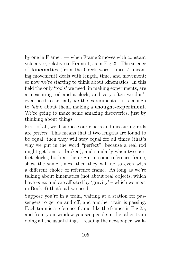by one in Frame  $1$  — when Frame 2 moves with constant velocity  $v$ , relative to Frame 1, as in Fig. 25. The science of kinematics (from the Greek word 'kinesis', meaning movement) deals with length, time, and movement; so now we're starting to think about kinematics. In this field the only 'tools' we need, in making experiments, are a measuring-rod and a clock; and very often we don't even need to actually do the experiments – it's enough to *think* about them, making a **thought-experiment**. We're going to make some amazing discoveries, just by thinking about things.

First of all, we'll suppose our clocks and measuring-rods are perfect. This means that if two lengths are found to be equal, then they will stay equal for all times (that's why we put in the word "perfect", because a real rod might get bent or broken); and similarly when two perfect clocks, both at the origin in some reference frame, show the same times, then they will do so even with a different choice of reference frame. As long as we're talking about kinematics (not about real objects, which have mass and are affected by 'gravity' – which we meet in Book 4) that's all we need.

Suppose you're in a train, waiting at a station for passengers to get on and off, and another train is passing. Each train is a reference frame, like the frames in Fig.25, and from your window you see people in the other train doing all the usual things – reading the newspaper, walk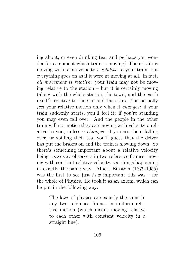ing about, or even drinking tea: and perhaps you wonder for a moment which train is moving? Their train is moving with some velocity v relative to your train, but everything goes on as if it were'nt moving at all. In fact, all movement is relative: your train may not be moving relative to the station – but it is certainly moving (along with the whole station, the town, and the earth itself!) relative to the sun and the stars. You actually feel your relative motion only when it changes: if your train suddenly starts, you'll feel it; if you're standing you may even fall over. And the people in the other train will not notice they are moving with velocity  $v$  relative to you, unless v *changes*: if you see them falling over, or spilling their tea, you'll guess that the driver has put the brakes on and the train is slowing down. So there's something important about a relative velocity being *constant*: observers in two reference frames, moving with constant relative velocity, see things happening in exactly the same way. Albert Einstein (1879-1955) was the first to see just *how* important this was – for the whole of Physics. He took it as an axiom, which can be put in the following way:

> The laws of physics are exactly the same in any two reference frames in uniform relative motion (which means moving relative to each other with constant velocity in a straight line).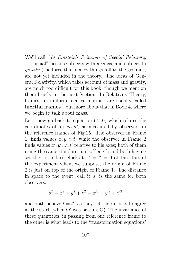We'll call this Einstein's Principle of Special Relativity – "special" because objects with a mass, and subject to gravity (the force that makes things fall to the ground), are not yet included in the theory. The ideas of General Relativity, which takes account of mass and gravity, are much too difficult for this book, though we mention them briefly in the next Section. In Relativity Theory, frames "in uniform relative motion" are usually called inertial frames – but more about that in Book 4, where we begin to talk about mass.

Let's now go back to equation (7.10) which relates the coordinates of an event, as measured by observers in the reference frames of Fig.25. The observer in Frame 1, finds values  $x, y, z, t$ , while the observer in Frame 2 finds values  $x', y', z', t'$  relative to his axes; both of them using the same standard unit of length and both having set their standard clocks to  $t = t' = 0$  at the start of the experiment when, we suppose, the origin of Frame 2 is just on top of the origin of Frame 1. The distance in space to the event, call it s, is the same for both observers:

$$
s^2 = x^2 + y^2 + z^2 = x'^2 + y'^2 + z'^2
$$

and both believe  $t = t'$ , as they set their clocks to agree at the start (when  $O'$  was passing O). The invariance of these quantities, in passing from one reference frame to the other is what leads to the 'transformation equations'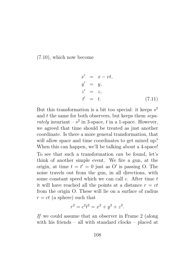(7.10), which now become

$$
x' = x - vt,
$$
  
\n
$$
y' = y,
$$
  
\n
$$
z' = z,
$$
  
\n
$$
t' = t.
$$
\n(7.11)

But this transformation is a bit too special: it keeps  $s^2$ and  $t$  the same for both observers, but keeps them  $\textit{sepa-}$ rately invariant –  $s^2$  in 3-space, t in a 1-space. However, we agreed that time should be treated as just another coordinate. Is there a more general transformation, that will allow space and time coordinates to get mixed up? When this can happen, we'll be talking about a 4-space! To see that such a transformation can be found, let's think of another simple event. We fire a gun, at the origin, at time  $t = t' = 0$  just as O' is passing O. The noise travels out from the gun, in all directions, with some constant speed which we can call  $c$ . After time  $t$ it will have reached all the points at a distance  $r = ct$ from the origin O. These will lie on a surface of radius  $r = ct$  (a sphere) such that

$$
r^2 = c^2 t^2 = x^2 + y^2 + z^2.
$$

If we could assume that an observer in Frame 2 (along with his friends – all with standard clocks – placed at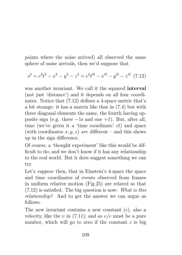points where the noise arrived) all observed the same sphere of noise arrivals, then we'd suppose that

$$
s^{2} = c^{2}t^{2} - x^{2} - y^{2} - z^{2} = c^{2}t^{2} - x^{2} - y^{2} - z^{2}
$$
 (7.12)

was another invariant. We call it the squared interval (not just 'distance') and it depends on all four coordinates. Notice that (7.12) defines a 4-space metric that's a bit strange: it has a matrix like that in (7.4) but with three diagonal elements the same, the fourth having opposite sign (e.g. three  $-1s$  and one  $+1$ ). But, after all, time (we've given it a 'time coordinate' ct) and space (with coordinates  $x, y, z$ ) are different – and this shows up in the sign difference.

Of course, a 'thought experiment' like this would be difficult to do; and we don't know if it has any relationship to the real world. But it does suggest something we can try.

Let's *suppose* then, that in Einstein's 4-space the space and time coordinates of events observed from frames in uniform relative motion (Fig.25) are related so that  $(7.12)$  is satisfied. The big question is now: What is this relationship? And to get the answer we can argue as follows.

The new invariant contains a new constant  $(c)$ , also a velocity, like the v in  $(7.11)$ ; and so  $v/c$  must be a pure number, which will go to zero if the constant  $c$  is big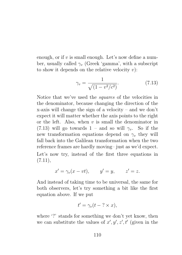enough, or if  $v$  is small enough. Let's now define a number, usually called  $\gamma_v$  (Greek 'gamma', with a subscript to show it depends on the relative velocity  $v$ :

$$
\gamma_v = \frac{1}{\sqrt{(1 - v^2/c^2)}}.\tag{7.13}
$$

Notice that we've used the squares of the velocities in the denominator, because changing the direction of the x-axis will change the sign of a velocity – and we don't expect it will matter whether the axis points to the right or the left. Also, when  $v$  is small the denominator in (7.13) will go towards 1 – and so will  $\gamma_v$ . So if the new transformation equations depend on  $\gamma_v$  they will fall back into the Galilean transformation when the two reference frames are hardly moving– just as we'd expect. Let's now try, instead of the first three equations in  $(7.11),$ 

$$
x' = \gamma_v(x - vt), \qquad y' = y, \qquad z' = z.
$$

And instead of taking time to be universal, the same for both observers, let's try something a bit like the first equation above. If we put

$$
t' = \gamma_v(t - ? \times x),
$$

where '?' stands for something we don't yet know, then we can substitute the values of  $x', y', z', t'$  (given in the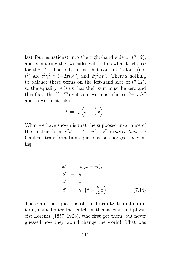last four equations) into the right-hand side of (7.12); and comparing the two sides will tell us what to choose for the  $'$ ?'. The only terms that contain  $t$  alone (not  $t^2$ ) are  $c^2\gamma_v^2 \times (-2xt \times ?)$  and  $2\gamma_v^2 xvt$ . There's nothing to balance these terms on the left-hand side of (7.12), so the equality tells us that their sum must be zero and this fixes the '?' To get zero we must choose  $? = v/c^2$ and so we must take

$$
t' = \gamma_v \left( t - \frac{v}{c^2} x \right).
$$

What we have shown is that the supposed invariance of the 'metric form'  $c^2t^2 - x^2 - y^2 - z^2$  requires that the Galilean transformation equations be changed, becoming

$$
x' = \gamma_v(x - vt),
$$
  
\n
$$
y' = y,
$$
  
\n
$$
z' = z,
$$
  
\n
$$
t' = \gamma_v \left( t - \frac{v}{c^2} x \right).
$$
\n(7.14)

These are the equations of the Lorentz transformation, named after the Dutch mathematician and physicist Lorentz (1857–1928), who first got them, but never guessed how they would change the world! That was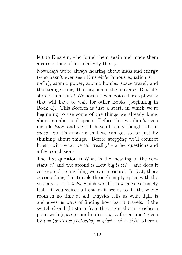left to Einstein, who found them again and made them a cornerstone of his relativity theory.

Nowadays we're always hearing about mass and energy (who hasn't ever seen Einstein's famous equation  $E =$  $mc<sup>2</sup>$ ?), atomic power, atomic bombs, space travel, and the strange things that happen in the universe. But let's stop for a minute! We haven't even got as far as physics: that will have to wait for other Books (beginning in Book 4). This Section is just a start, in which we're beginning to use some of the things we already know about number and space. Before this we didn't even include time, and we still haven't really thought about mass. So it's amazing that we can get so far just by thinking about things. Before stopping we'll connect briefly with what we call 'reality' – a few questions and a few conclusions.

The first question is What is the meaning of the constant  $c$ ? and the second is How big is it? – and does it correspond to anything we can measure? In fact, there is something that travels through empty space with the velocity  $c$ : it is *light*, which we all know goes extremely  $fast - if you switch a light on it seems to fill the whole$ room in no time at all! Physics tells us what light is and gives us ways of finding how fast it travels: if the switched-on light starts from the origin, then it reaches a point with (space) coordinates  $x, y, z$  after a time t given by  $t = (distance/velocity) = \sqrt{x^2 + y^2 + z^2/c}$ , where c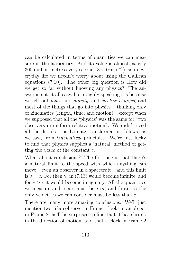can be calculated in terms of quantities we can measure in the laboratory. And its value is almost exactly 300 million metres every second  $(3\times10^8 \text{m s}^{-1})$ , so in everyday life we needn't worry about using the Galilean equations (7.10). The other big question is How did we get so far without knowing any physics? The answer is not at all easy, but roughly speaking it's because we left out mass and gravity, and electric charges, and most of the things that go into physics – thinking only of kinematics (length, time, and motion) – except when we supposed that all the 'physics' was the same for "two observers in uniform relative motion". We didn't need all the details: the Lorentz transformation follows, as we saw, from kinematical principles. We're just lucky to find that physics supplies a 'natural' method of getting the *value* of the constant  $c$ .

What about conclusions? The first one is that there's a natural limit to the speed with which anything can move – even an observer in a spacecraft – and this limit is  $v = c$ . For then  $\gamma_v$  in (7.13) would become infinite; and for  $v > c$  it would become imaginary. All the quantities we measure and relate must be real; and finite, so the only velocities we can consider must be less than c.

There are many more amazing conclusions. We'll just mention two: if an observer in Frame 1 looks at an object in Frame 2, he'll be surprised to find that it has shrunk in the direction of motion; and that a clock in Frame 2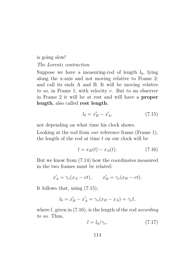### is going slow! The Lorentz contraction

Suppose we have a measuring-rod of length  $l_0$ , lying along the x-axis and not moving relative to Frame 2; and call its ends A and B. It will be moving relative to us, in Frame 1, with velocity v. But to an observer in Frame 2 it will be at rest and will have a proper length, also called rest length,

$$
l_0 = x'_B - x'_A,\t\t(7.15)
$$

not depending on what time his clock shows.

Looking at the rod from *our* reference frame (Frame 1), the length of the rod at time  $t$  on our clock will be

$$
l = x_B(t) - x_A(t). \t\t(7.16)
$$

But we know from (7.14) how the coordinates measured in the two frames must be related:

$$
x'_A = \gamma_v (x_A - vt), \qquad x'_B = \gamma_v (x_B - vt).
$$

It follows that, using (7.15),

$$
l_0 = x'_B - x'_A = \gamma_v (x_B - x_A) = \gamma_v l,
$$

where l, given in  $(7.16)$ , is the length of the rod *according* to us. Thus,

$$
l = l_0 / \gamma_v. \tag{7.17}
$$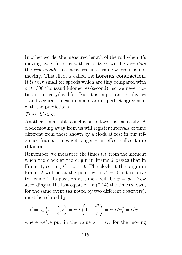In other words, the measured length of the rod when it's moving away from us with velocity  $v$ , will be less than the rest length – as measured in a frame where it is not moving. This effect is called the Lorentz contraction. It is very small for speeds which are tiny compared with  $c \approx 300$  thousand kilometres/second): so we never notice it in everyday life. But it is important in physics – and accurate measurements are in perfect agreement with the predictions.

#### Time dilation

Another remarkable conclusion follows just as easily. A clock moving away from us will register intervals of time different from those shown by a clock at rest in our reference frame: times get longer – an effect called time dilation.

Remember, we measured the times  $t, t'$  from the moment when the clock at the origin in Frame 2 passes that in Frame 1, setting  $t' = t = 0$ . The clock at the origin in Frame 2 will be at the point with  $x' = 0$  but relative to Frame 2 its position at time t will be  $x = vt$ . Now according to the last equation in (7.14) the times shown, for the same event (as noted by two different observers), must be related by

$$
t' = \gamma_v \left( t - \frac{v}{c^2} x \right) = \gamma_v t \left( 1 - \frac{v^2}{c^2} \right) = \gamma_v t / \gamma_v^2 = t / \gamma_v,
$$

where we've put in the value  $x = vt$ , for the moving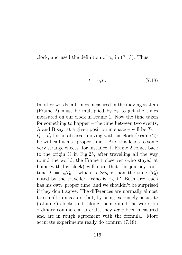clock, and used the definition of  $\gamma_v$  in (7.13). Thus,

$$
t = \gamma_v t'.\tag{7.18}
$$

In other words, all times measured in the moving system (Frame 2) must be multiplied by  $\gamma_v$  to get the times measured on our clock in Frame 1. Now the time taken for something to happen – the time between two events, A and B say, at a given position in space – will be  $T_0 =$  $t_B' - t_A'$  for an observer moving with his clock (Frame 2): he will call it his "proper time". And this leads to some very strange effects: for instance, if Frame 2 comes back to the origin O in Fig.25, after travelling all the way round the world, the Frame 1 observer (who stayed at home with his clock) will note that the journey took time  $T = \gamma_v T_0$  – which is *longer* than the time  $(T_0)$ noted by the traveller. Who is right? Both are: each has his own 'proper time' and we shouldn't be surprised if they don't agree. The differences are normally almost too small to measure: but, by using extremely accurate ('atomic') clocks and taking them round the world on ordinary commercial aircraft, they have been measured and are in rough agreement with the formula. More accurate experiments really do confirm (7.18).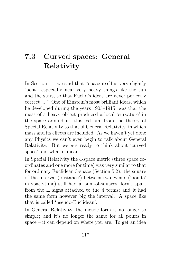### 7.3 Curved spaces: General Relativity

In Section 1.1 we said that "space itself is very slightly 'bent', especially near very heavy things like the sun and the stars, so that Euclid's ideas are never perfectly correct ... " One of Einstein's most brilliant ideas, which he developed during the years 1905–1915, was that the mass of a heavy object produced a local 'curvature' in the space around it: this led him from the theory of Special Relativity to that of General Relativity, in which mass and its effects are included. As we haven't yet done any Physics we can't even begin to talk about General Relativity. But we are ready to think about 'curved space' and what it means.

In Special Relativity the 4-space metric (three space coordinates and one more for time) was very similar to that for ordinary Euclidean 3-space (Section 5.2): the square of the interval ('distance') between two events ('points' in space-time) still had a 'sum-of-squares' form, apart from the  $\pm$  signs attached to the 4 terms; and it had the same form however big the interval. A space like that is called 'pseudo-Euclidean'.

In General Relativity, the metric form is no longer so simple; and it's no longer the same for all points in space – it can depend on where you are. To get an idea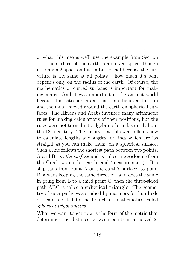of what this means we'll use the example from Section 1.1: the surface of the earth is a curved space, though it's only a 2-space and it's a bit special because the curvature is the same at all points – how much it's bent depends only on the radius of the earth. Of course, the mathematics of curved surfaces is important for making maps. And it was important in the ancient world because the astronomers at that time believed the sun and the moon moved around the earth on spherical surfaces. The Hindus and Arabs invented many arithmetic rules for making calculations of their positions, but the rules were not turned into algebraic formulas until about the 13th century. The theory that followed tells us how to calculate lengths and angles for lines which are 'as straight as you can make them' on a spherical surface. Such a line follows the shortest path between two points, A and B, on the surface and is called a geodesic (from the Greek words for 'earth' and 'measurement'). If a ship sails from point A on the earth's surface, to point B, always keeping the same direction, and does the same in going from B to a third point C, then the three-sided path ABC is called a spherical triangle. The geometry of such paths was studied by mariners for hundreds of years and led to the branch of mathematics called spherical trigonometry.

What we want to get now is the form of the metric that determines the distance between points in a curved 2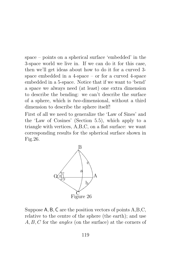space – points on a spherical surface 'embedded' in the 3-space world we live in. If we can do it for this case, then we'll get ideas about how to do it for a curved 3 space embedded in a 4-space – or for a curved 4-space embedded in a 5-space. Notice that if we want to 'bend' a space we always need (at least) one extra dimension to describe the bending: we can't describe the surface of a sphere, which is two-dimensional, without a third dimension to describe the sphere itself!

First of all we need to generalize the 'Law of Sines' and the 'Law of Cosines' (Section 5.5), which apply to a triangle with vertices, A,B,C, on a flat surface: we want corresponding results for the spherical surface shown in Fig.26.



Suppose A, B, C are the position vectors of points A,B,C, relative to the centre of the sphere (the earth); and use A, B, C for the *angles* (on the surface) at the corners of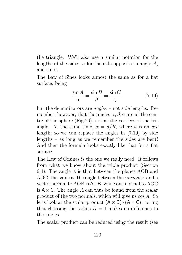the triangle. We'll also use a similar notation for the lengths of the sides,  $a$  for the side opposite to angle  $A$ , and so on.

The Law of Sines looks almost the same as for a flat surface, being

$$
\frac{\sin A}{\alpha} = \frac{\sin B}{\beta} = \frac{\sin C}{\gamma},\tag{7.19}
$$

but the denominators are angles – not side lengths. Remember, however, that the angles  $\alpha$ ,  $\beta$ ,  $\gamma$  are at the centre of the sphere (Fig.26), not at the vertices of the triangle. At the same time,  $\alpha = a/R$ , where a is an arc length; so we can replace the angles in (7.19) by side lengths – as long as we remember the sides are bent! And then the formula looks exactly like that for a flat surface.

The Law of Cosines is the one we really need. It follows from what we know about the triple product (Section 6.4). The angle A is that between the planes AOB and AOC, the same as the angle between the normals: and a vector normal to AOB is  $A \times B$ , while one normal to AOC is  $A \times C$ . The angle A can thus be found from the scalar product of the two normals, which will give us cos A. So let's look at the scalar product  $(A \times B) \cdot (A \times C)$ , noting that choosing the radius  $R = 1$  makes no difference to the angles.

The scalar product can be reduced using the result (see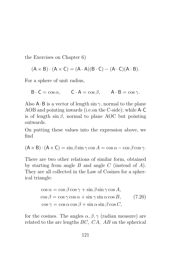the Exercises on Chapter 6)

$$
(A\times B)\cdot (A\times C)=(A\cdot A)(B\cdot C)-(A\cdot C)(A\cdot B).
$$

For a sphere of unit radius,

$$
B \cdot C = \cos \alpha, \qquad C \cdot A = \cos \beta, \qquad A \cdot B = \cos \gamma.
$$

Also  $A \cdot B$  is a vector of length  $\sin \gamma$ , normal to the plane AOB and pointing inwards (i.e.on the C-side); while A·C is of length  $\sin \beta$ , normal to plane AOC but pointing outwards.

On putting these values into the expression above, we find

$$
(A \times B) \cdot (A \times C) = \sin \beta \sin \gamma \cos A = \cos \alpha - \cos \beta \cos \gamma.
$$

There are two other relations of similar form, obtained by starting from angle  $B$  and angle  $C$  (instead of  $A$ ). They are all collected in the Law of Cosines for a spherical triangle:

$$
\cos \alpha = \cos \beta \cos \gamma + \sin \beta \sin \gamma \cos A,\n\cos \beta = \cos \gamma \cos \alpha + \sin \gamma \sin \alpha \cos B,\n\cos \gamma = \cos \alpha \cos \beta + \sin \alpha \sin \beta \cos C,
$$
\n(7.20)

for the cosines. The angles  $\alpha, \beta, \gamma$  (radian measure) are related to the arc lengths BC, CA, AB on the spherical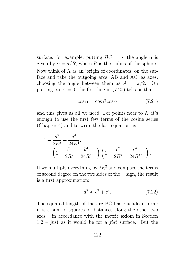surface: for example, putting  $BC = a$ , the angle  $\alpha$  is given by  $\alpha = a/R$ , where R is the radius of the sphere. Now think of A as an 'origin of coordinates' on the surface and take the outgoing arcs, AB and AC, as axes, choosing the angle between them as  $A = \pi/2$ . On putting  $\cos A = 0$ , the first line in (7.20) tells us that

$$
\cos \alpha = \cos \beta \cos \gamma \tag{7.21}
$$

and this gives us all we need. For points near to A, it's enough to use the first few terms of the cosine series (Chapter 4) and to write the last equation as

$$
1 - \frac{a^2}{2R^2} + \frac{a^4}{24R^4} \dots =
$$
  
\n
$$
\left(1 - \frac{b^2}{2R^2} + \frac{b^4}{24R^4} \dots \right) \left(1 - \frac{c^2}{2R^2} + \frac{c^4}{24R^4} \dots \right).
$$

If we multiply everything by  $2R^2$  and compare the terms of second degree on the two sides of the  $=$  sign, the result is a first approximation:

$$
a^2 \approx b^2 + c^2,\tag{7.22}
$$

The squared length of the arc BC has Euclidean form: it is a sum of squares of distances along the other two arcs – in accordance with the metric axiom in Section  $1.2$  – just as it would be for a *flat* surface. But the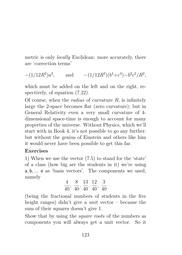metric is only locally Euclidean: more accurately, there are 'correction terms'

$$
-(1/12R^2)a^2
$$
, and  $-(1/12R^2)(b^4+c^4)-b^2c^2/R^2$ ,

which must be added on the left and on the right, respectively, of equation (7.22).

Of course, when the *radius* of curvature  $R$ , is infinitely large the 2-space becomes flat (zero curvature); but in General Relativity even a very small curvature of 4 dimensional space-time is enough to account for many properties of the universe. Without Physics, which we'll start with in Book 4, it's not possible to go any further: but without the genius of Einstein and others like him it would never have been possible to get this far.

#### Exercises

1) When we use the vector (7.5) to stand for the 'state' of a class (how big are the students in it) we're using a, b, ... e as 'basis vectors'. The components we used, namely

$$
\frac{4}{40},\ \frac{8}{40},\ \frac{13}{40},\ \frac{12}{40},\ \frac{3}{40}
$$

(being the fractional numbers of students in the five height ranges) didn't give a *unit* vector – because the sum of their squares doesn't give 1.

Show that by using the square roots of the numbers as components you will always get a unit vector. So it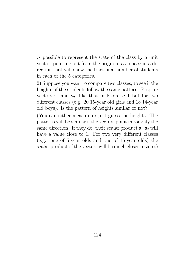is possible to represent the state of the class by a unit vector, pointing out from the origin in a 5-space in a direction that will show the fractional number of students in each of the 5 categories.

2) Suppose you want to compare two classes, to see if the heights of the students follow the same pattern. Prepare vectors  $s_1$  and  $s_2$ , like that in Exercise 1 but for two different classes (e.g. 20 15-year old girls and 18 14-year old boys). Is the pattern of heights similar or not?

(You can either measure or just guess the heights. The patterns will be similar if the vectors point in roughly the same direction. If they do, their scalar product  $s_1 \cdot s_2$  will have a value close to 1. For two very different classes (e.g. one of 5-year olds and one of 16-year olds) the scalar product of the vectors will be much closer to zero.)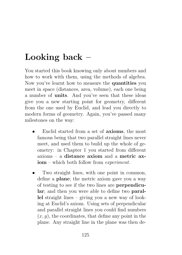## Looking back –

You started this book knowing only about numbers and how to work with them, using the methods of algebra. Now you've learnt how to measure the quantities you meet in space (distances, area, volume), each one being a number of units. And you've seen that these ideas give you a new starting point for geometry, different from the one used by Euclid, and lead you directly to modern forms of geometry. Again, you've passed many milestones on the way:

- Euclid started from a set of axioms, the most famous being that two parallel straight lines never meet, and used them to build up the whole of geometry: in Chapter 1 you started from different axioms – a distance axiom and a metric axiom – which both follow from experiment.
- Two straight lines, with one point in common, define a plane; the metric axiom gave you a way of testing to see if the two lines are perpendicular; and then you were able to define two parallel straight lines – giving you a new way of looking at Euclid's axiom. Using sets of perpendicular and parallel straight lines you could find numbers  $(x, y)$ , the coordinates, that define any point in the plane. Any straight line in the plane was then de-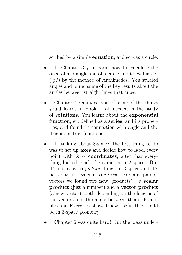scribed by a simple **equation**; and so was a circle.

- In Chapter 3 you learnt how to calculate the area of a triangle and of a circle and to evaluate  $\pi$ ('pi') by the method of Archimedes. You studied angles and found some of the key results about the angles between straight lines that cross.
- Chapter 4 reminded you of some of the things you'd learnt in Book 1, all needed in the study of rotations. You learnt about the exponential function,  $e^x$ , defined as a series, and its properties; and found its connection with angle and the 'trigonometric' functions.
- In talking about 3-space, the first thing to do was to set up axes and decide how to label every point with three coordinates; after that everything looked much the same as in 2-space. But it's not easy to picture things in 3-space and it's better to use vector algebra. For any pair of vectors we found two new 'products' – a scalar product (just a number) and a vector product (a new vector), both depending on the lengths of the vectors and the angle between them. Examples and Exercises showed how useful they could be in 3-space geometry.
- Chapter 6 was quite hard! But the ideas under-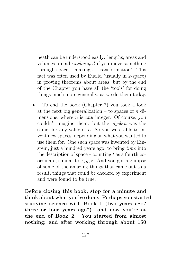neath can be understood easily: lengths, areas and volumes are all unchanged if you move something through space – making a 'transformation'. This fact was often used by Euclid (usually in 2-space) in proving theorems about areas; but by the end of the Chapter you have all the 'tools' for doing things much more generally, as we do them today.

• To end the book (Chapter 7) you took a look at the next big generalization – to spaces of  $n$  dimensions, where  $n$  is *any* integer. Of course, you couldn't imagine them: but the algebra was the same, for any value of  $n$ . So you were able to invent new spaces, depending on what you wanted to use them for. One such space was invented by Einstein, just a hundred years ago, to bring time into the description of space – counting t as a fourth coordinate, similar to  $x, y, z$ . And you got a glimpse of some of the amazing things that came out as a result, things that could be checked by experiment and were found to be true.

Before closing this book, stop for a minute and think about what you've done. Perhaps you started studying science with Book 1 (two years ago? three or four years ago?) and now you're at the end of Book 2. You started from almost nothing; and after working through about 150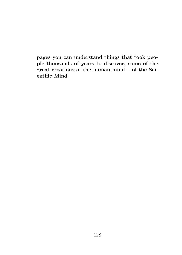pages you can understand things that took people thousands of years to discover, some of the great creations of the human mind – of the Scientific Mind.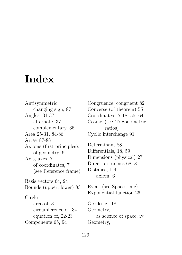# **Index**

Antisymmetric, changing sign, 87 Angles, 31-37 alternate, 37 complementary, 35 Area 25-31, 84-86 Array 87-88 Axioms (first principles), of geometry, 6 Axis, axes, 7 of coordinates, 7 (see Reference frame) Basis vectors 64, 94 Bounds (upper, lower) 83 Circle area of, 31 circumference of, 34 equation of, 22-23 Components 65, 94

Congruence, congruent 82 Converse (of theorem) 55 Coordinates 17-18, 55, 64 Cosine (see Trigonometric ratios) Cyclic interchange 91

Determinant 88 Differentials, 18, 59 Dimensions (physical) 27 Direction cosines 68, 81 Distance, 1-4 axiom, 6

Event (see Space-time) Exponential function 26

Geodesic 118 Geometry, as science of space, iv Geometry,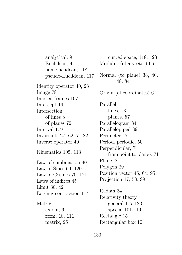analytical, 9 Euclidean, 4 non-Euclidean, 118 pseudo-Euclidean, 117 Identity operator 40, 23 Image 78 Inertial frames 107 Intercept 19 Intersection of lines 8 of planes 72 Interval 109 Invariants 27, 62, 77-82 Inverse operator 40 Kinematics 105, 113 Law of combination 40 Law of Sines 69, 120 Law of Cosines 70, 121 Laws of indices 45 Limit 30, 42 Lorentz contraction 114 Metric axiom, 6 form, 18, 111 matrix, 96

curved space, 118, 123 Modulus (of a vector) 66 Normal (to plane) 38, 40, 48, 84 Origin (of coordinates) 6 Parallel lines, 13 planes, 57 Parallelogram 84 Parallelopiped 89 Perimeter 17 Period, periodic, 50 Perpendicular, 7 from point to plane), 71 Plane, 8 Polygon 29 Position vector 46, 64, 95 Projection 17, 58, 99 Radian 34 Relativity theory general 117-123 special 101-116 Rectangle 15 Rectangular box 10